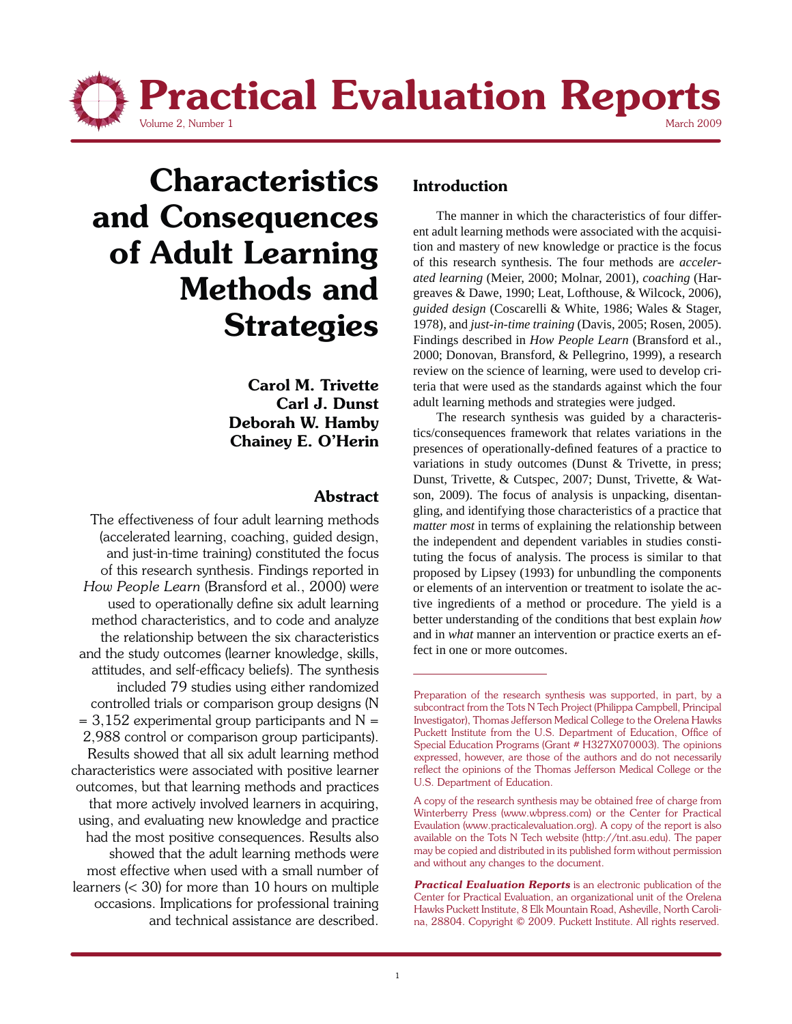

# **Characteristics and Consequences of Adult Learning Methods and Strategies**

**Carol M. Trivette Carl J. Dunst Deborah W. Hamby Chainey E. O'Herin**

#### **Abstract**

The effectiveness of four adult learning methods (accelerated learning, coaching, guided design, and just-in-time training) constituted the focus of this research synthesis. Findings reported in *How People Learn* (Bransford et al., 2000) were used to operationally define six adult learning method characteristics, and to code and analyze the relationship between the six characteristics and the study outcomes (learner knowledge, skills, attitudes, and self-efficacy beliefs). The synthesis included 79 studies using either randomized controlled trials or comparison group designs (N  $= 3,152$  experimental group participants and N = 2,988 control or comparison group participants). Results showed that all six adult learning method characteristics were associated with positive learner outcomes, but that learning methods and practices that more actively involved learners in acquiring, using, and evaluating new knowledge and practice had the most positive consequences. Results also showed that the adult learning methods were most effective when used with a small number of learners (< 30) for more than 10 hours on multiple occasions. Implications for professional training and technical assistance are described.

## **Introduction**

 The manner in which the characteristics of four different adult learning methods were associated with the acquisition and mastery of new knowledge or practice is the focus of this research synthesis. The four methods are *accelerated learning* (Meier, 2000; Molnar, 2001), *coaching* (Hargreaves & Dawe, 1990; Leat, Lofthouse, & Wilcock, 2006), *guided design* (Coscarelli & White, 1986; Wales & Stager, 1978), and *just-in-time training* (Davis, 2005; Rosen, 2005). Findings described in *How People Learn* (Bransford et al., 2000; Donovan, Bransford, & Pellegrino, 1999), a research review on the science of learning, were used to develop criteria that were used as the standards against which the four adult learning methods and strategies were judged.

 The research synthesis was guided by a characteristics/consequences framework that relates variations in the presences of operationally-defined features of a practice to variations in study outcomes (Dunst & Trivette, in press; Dunst, Trivette, & Cutspec, 2007; Dunst, Trivette, & Watson, 2009). The focus of analysis is unpacking, disentangling, and identifying those characteristics of a practice that *matter most* in terms of explaining the relationship between the independent and dependent variables in studies constituting the focus of analysis. The process is similar to that proposed by Lipsey (1993) for unbundling the components or elements of an intervention or treatment to isolate the active ingredients of a method or procedure. The yield is a better understanding of the conditions that best explain *how* and in *what* manner an intervention or practice exerts an effect in one or more outcomes.

Preparation of the research synthesis was supported, in part, by a subcontract from the Tots N Tech Project (Philippa Campbell, Principal Investigator), Thomas Jefferson Medical College to the Orelena Hawks Puckett Institute from the U.S. Department of Education, Office of Special Education Programs (Grant # H327X070003). The opinions expressed, however, are those of the authors and do not necessarily reflect the opinions of the Thomas Jefferson Medical College or the U.S. Department of Education.

A copy of the research synthesis may be obtained free of charge from Winterberry Press (www.wbpress.com) or the Center for Practical Evaulation (www.practicalevaluation.org). A copy of the report is also available on the Tots N Tech website (http://tnt.asu.edu). The paper may be copied and distributed in its published form without permission and without any changes to the document.

*Practical Evaluation Reports* is an electronic publication of the Center for Practical Evaluation, an organizational unit of the Orelena Hawks Puckett Institute, 8 Elk Mountain Road, Asheville, North Carolina, 28804. Copyright © 2009. Puckett Institute. All rights reserved.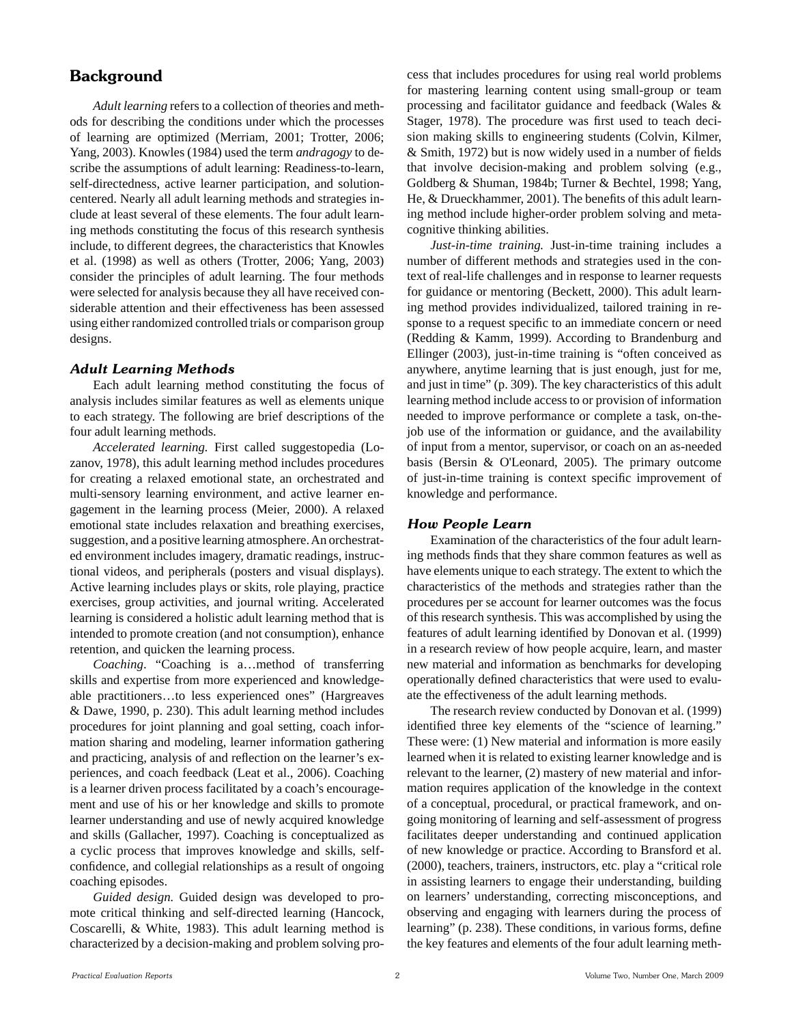### **Background**

*Adult learning* refers to a collection of theories and methods for describing the conditions under which the processes of learning are optimized (Merriam, 2001; Trotter, 2006; Yang, 2003). Knowles (1984) used the term *andragogy* to describe the assumptions of adult learning: Readiness-to-learn, self-directedness, active learner participation, and solutioncentered. Nearly all adult learning methods and strategies include at least several of these elements. The four adult learning methods constituting the focus of this research synthesis include, to different degrees, the characteristics that Knowles et al. (1998) as well as others (Trotter, 2006; Yang, 2003) consider the principles of adult learning. The four methods were selected for analysis because they all have received considerable attention and their effectiveness has been assessed using either randomized controlled trials or comparison group designs.

#### *Adult Learning Methods*

 Each adult learning method constituting the focus of analysis includes similar features as well as elements unique to each strategy. The following are brief descriptions of the four adult learning methods.

*Accelerated learning.* First called suggestopedia (Lozanov, 1978), this adult learning method includes procedures for creating a relaxed emotional state, an orchestrated and multi-sensory learning environment, and active learner engagement in the learning process (Meier, 2000). A relaxed emotional state includes relaxation and breathing exercises, suggestion, and a positive learning atmosphere. An orchestrated environment includes imagery, dramatic readings, instructional videos, and peripherals (posters and visual displays). Active learning includes plays or skits, role playing, practice exercises, group activities, and journal writing. Accelerated learning is considered a holistic adult learning method that is intended to promote creation (and not consumption), enhance retention, and quicken the learning process.

*Coaching*. "Coaching is a…method of transferring skills and expertise from more experienced and knowledgeable practitioners…to less experienced ones" (Hargreaves & Dawe, 1990, p. 230). This adult learning method includes procedures for joint planning and goal setting, coach information sharing and modeling, learner information gathering and practicing, analysis of and reflection on the learner's experiences, and coach feedback (Leat et al., 2006). Coaching is a learner driven process facilitated by a coach's encouragement and use of his or her knowledge and skills to promote learner understanding and use of newly acquired knowledge and skills (Gallacher, 1997). Coaching is conceptualized as a cyclic process that improves knowledge and skills, selfconfidence, and collegial relationships as a result of ongoing coaching episodes.

 *Guided design.* Guided design was developed to promote critical thinking and self-directed learning (Hancock, Coscarelli, & White, 1983). This adult learning method is characterized by a decision-making and problem solving process that includes procedures for using real world problems for mastering learning content using small-group or team processing and facilitator guidance and feedback (Wales & Stager, 1978). The procedure was first used to teach decision making skills to engineering students (Colvin, Kilmer, & Smith, 1972) but is now widely used in a number of fields that involve decision-making and problem solving (e.g., Goldberg & Shuman, 1984b; Turner & Bechtel, 1998; Yang, He, & Drueckhammer, 2001). The benefits of this adult learning method include higher-order problem solving and metacognitive thinking abilities.

*Just-in-time training.* Just-in-time training includes a number of different methods and strategies used in the context of real-life challenges and in response to learner requests for guidance or mentoring (Beckett, 2000). This adult learning method provides individualized, tailored training in response to a request specific to an immediate concern or need (Redding & Kamm, 1999). According to Brandenburg and Ellinger (2003), just-in-time training is "often conceived as anywhere, anytime learning that is just enough, just for me, and just in time" (p. 309). The key characteristics of this adult learning method include access to or provision of information needed to improve performance or complete a task, on-thejob use of the information or guidance, and the availability of input from a mentor, supervisor, or coach on an as-needed basis (Bersin & O'Leonard, 2005). The primary outcome of just-in-time training is context specific improvement of knowledge and performance.

#### *How People Learn*

 Examination of the characteristics of the four adult learning methods finds that they share common features as well as have elements unique to each strategy. The extent to which the characteristics of the methods and strategies rather than the procedures per se account for learner outcomes was the focus of this research synthesis. This was accomplished by using the features of adult learning identified by Donovan et al. (1999) in a research review of how people acquire, learn, and master new material and information as benchmarks for developing operationally defined characteristics that were used to evaluate the effectiveness of the adult learning methods.

 The research review conducted by Donovan et al. (1999) identified three key elements of the "science of learning." These were: (1) New material and information is more easily learned when it is related to existing learner knowledge and is relevant to the learner, (2) mastery of new material and information requires application of the knowledge in the context of a conceptual, procedural, or practical framework, and ongoing monitoring of learning and self-assessment of progress facilitates deeper understanding and continued application of new knowledge or practice. According to Bransford et al. (2000), teachers, trainers, instructors, etc. play a "critical role in assisting learners to engage their understanding, building on learners' understanding, correcting misconceptions, and observing and engaging with learners during the process of learning" (p. 238). These conditions, in various forms, define the key features and elements of the four adult learning meth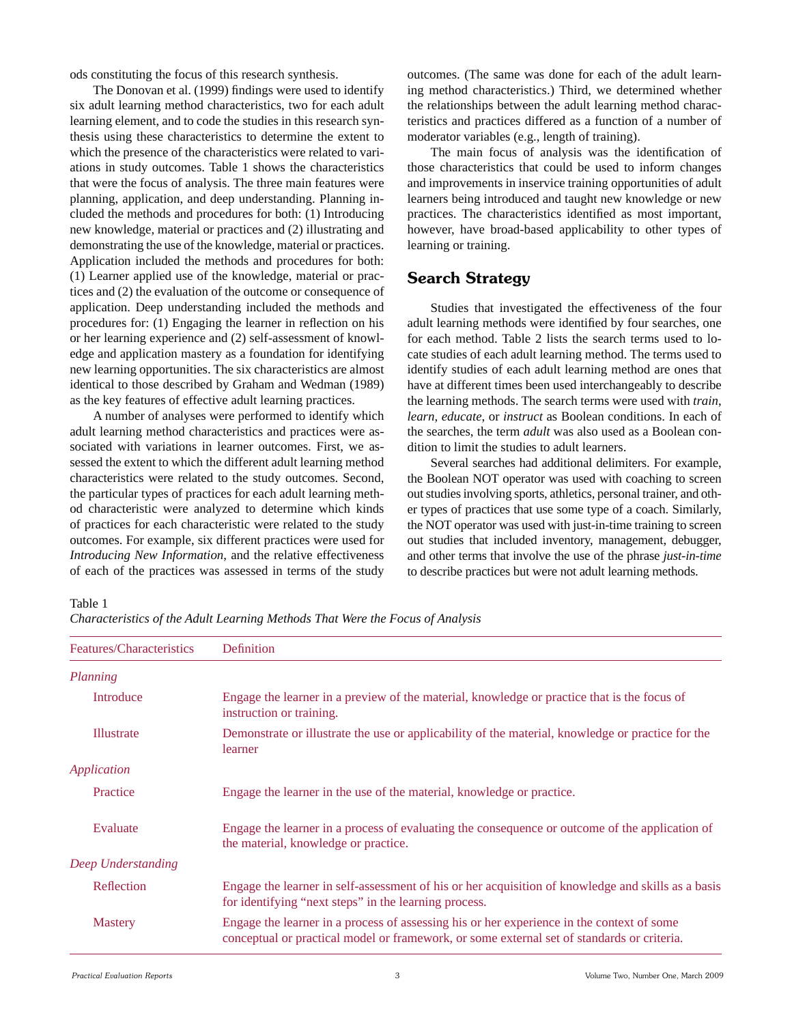ods constituting the focus of this research synthesis.

 The Donovan et al. (1999) findings were used to identify six adult learning method characteristics, two for each adult learning element, and to code the studies in this research synthesis using these characteristics to determine the extent to which the presence of the characteristics were related to variations in study outcomes. Table 1 shows the characteristics that were the focus of analysis. The three main features were planning, application, and deep understanding. Planning included the methods and procedures for both: (1) Introducing new knowledge, material or practices and (2) illustrating and demonstrating the use of the knowledge, material or practices. Application included the methods and procedures for both: (1) Learner applied use of the knowledge, material or practices and (2) the evaluation of the outcome or consequence of application. Deep understanding included the methods and procedures for: (1) Engaging the learner in reflection on his or her learning experience and (2) self-assessment of knowledge and application mastery as a foundation for identifying new learning opportunities. The six characteristics are almost identical to those described by Graham and Wedman (1989) as the key features of effective adult learning practices.

 A number of analyses were performed to identify which adult learning method characteristics and practices were associated with variations in learner outcomes. First, we assessed the extent to which the different adult learning method characteristics were related to the study outcomes. Second, the particular types of practices for each adult learning method characteristic were analyzed to determine which kinds of practices for each characteristic were related to the study outcomes. For example, six different practices were used for *Introducing New Information*, and the relative effectiveness of each of the practices was assessed in terms of the study outcomes. (The same was done for each of the adult learning method characteristics.) Third, we determined whether the relationships between the adult learning method characteristics and practices differed as a function of a number of moderator variables (e.g., length of training).

 The main focus of analysis was the identification of those characteristics that could be used to inform changes and improvements in inservice training opportunities of adult learners being introduced and taught new knowledge or new practices. The characteristics identified as most important, however, have broad-based applicability to other types of learning or training.

### **Search Strategy**

 Studies that investigated the effectiveness of the four adult learning methods were identified by four searches, one for each method. Table 2 lists the search terms used to locate studies of each adult learning method. The terms used to identify studies of each adult learning method are ones that have at different times been used interchangeably to describe the learning methods. The search terms were used with *train*, *learn*, *educate*, or *instruct* as Boolean conditions. In each of the searches, the term *adult* was also used as a Boolean condition to limit the studies to adult learners.

 Several searches had additional delimiters. For example, the Boolean NOT operator was used with coaching to screen out studies involving sports, athletics, personal trainer, and other types of practices that use some type of a coach. Similarly, the NOT operator was used with just-in-time training to screen out studies that included inventory, management, debugger, and other terms that involve the use of the phrase *just-in-time* to describe practices but were not adult learning methods.

Table 1

*Characteristics of the Adult Learning Methods That Were the Focus of Analysis*

| Features/Characteristics | Definition                                                                                                                                                                              |
|--------------------------|-----------------------------------------------------------------------------------------------------------------------------------------------------------------------------------------|
| Planning                 |                                                                                                                                                                                         |
| Introduce                | Engage the learner in a preview of the material, knowledge or practice that is the focus of<br>instruction or training.                                                                 |
| <b>Illustrate</b>        | Demonstrate or illustrate the use or applicability of the material, knowledge or practice for the<br>learner                                                                            |
| <b>Application</b>       |                                                                                                                                                                                         |
| Practice                 | Engage the learner in the use of the material, knowledge or practice.                                                                                                                   |
| Evaluate                 | Engage the learner in a process of evaluating the consequence or outcome of the application of<br>the material, knowledge or practice.                                                  |
| Deep Understanding       |                                                                                                                                                                                         |
| Reflection               | Engage the learner in self-assessment of his or her acquisition of knowledge and skills as a basis<br>for identifying "next steps" in the learning process.                             |
| <b>Mastery</b>           | Engage the learner in a process of assessing his or her experience in the context of some<br>conceptual or practical model or framework, or some external set of standards or criteria. |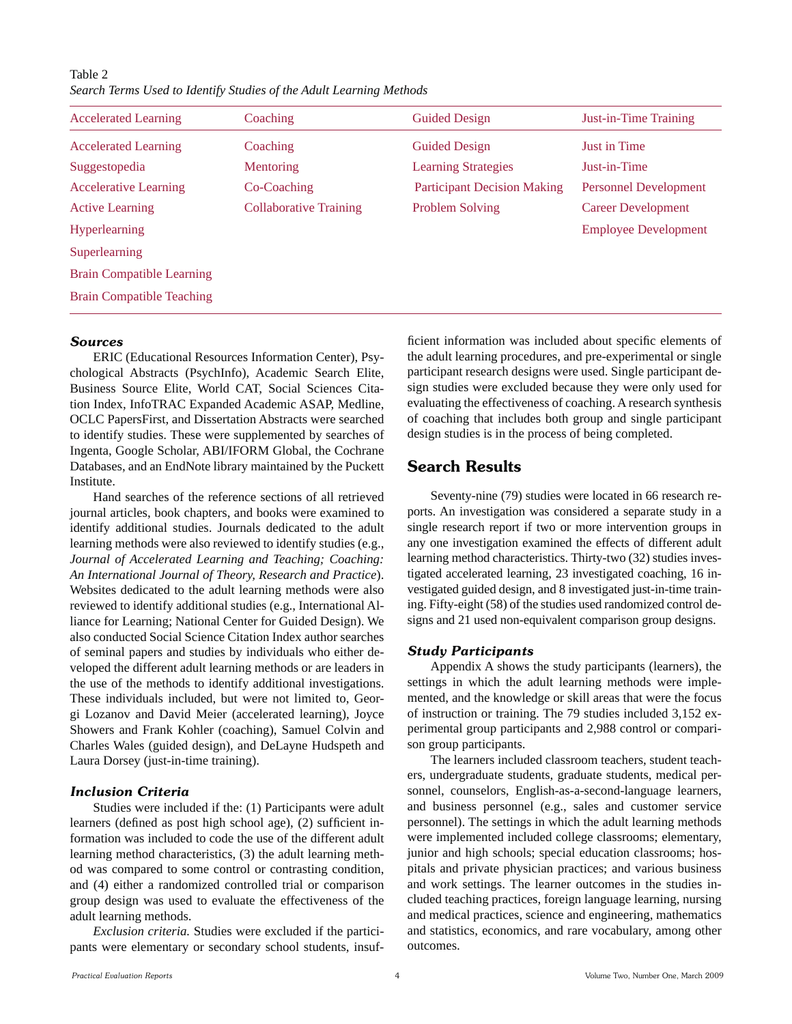Table 2 *Search Terms Used to Identify Studies of the Adult Learning Methods*

| <b>Accelerated Learning</b>      | Coaching                      | <b>Guided Design</b>               | Just-in-Time Training        |
|----------------------------------|-------------------------------|------------------------------------|------------------------------|
| <b>Accelerated Learning</b>      | Coaching                      | <b>Guided Design</b>               | <b>Just in Time</b>          |
| Suggestopedia                    | Mentoring                     | <b>Learning Strategies</b>         | Just-in-Time                 |
| <b>Accelerative Learning</b>     | Co-Coaching                   | <b>Participant Decision Making</b> | <b>Personnel Development</b> |
| <b>Active Learning</b>           | <b>Collaborative Training</b> | Problem Solving                    | <b>Career Development</b>    |
| <b>Hyperlearning</b>             |                               |                                    | <b>Employee Development</b>  |
| Superlearning                    |                               |                                    |                              |
| <b>Brain Compatible Learning</b> |                               |                                    |                              |
| <b>Brain Compatible Teaching</b> |                               |                                    |                              |

#### *Sources*

 ERIC (Educational Resources Information Center), Psychological Abstracts (PsychInfo), Academic Search Elite, Business Source Elite, World CAT, Social Sciences Citation Index, InfoTRAC Expanded Academic ASAP, Medline, OCLC PapersFirst, and Dissertation Abstracts were searched to identify studies. These were supplemented by searches of Ingenta, Google Scholar, ABI/IFORM Global, the Cochrane Databases, and an EndNote library maintained by the Puckett Institute.

 Hand searches of the reference sections of all retrieved journal articles, book chapters, and books were examined to identify additional studies. Journals dedicated to the adult learning methods were also reviewed to identify studies (e.g., *Journal of Accelerated Learning and Teaching; Coaching: An International Journal of Theory, Research and Practice*). Websites dedicated to the adult learning methods were also reviewed to identify additional studies (e.g., International Alliance for Learning; National Center for Guided Design). We also conducted Social Science Citation Index author searches of seminal papers and studies by individuals who either developed the different adult learning methods or are leaders in the use of the methods to identify additional investigations. These individuals included, but were not limited to, Georgi Lozanov and David Meier (accelerated learning), Joyce Showers and Frank Kohler (coaching), Samuel Colvin and Charles Wales (guided design), and DeLayne Hudspeth and Laura Dorsey (just-in-time training).

#### *Inclusion Criteria*

 Studies were included if the: (1) Participants were adult learners (defined as post high school age), (2) sufficient information was included to code the use of the different adult learning method characteristics, (3) the adult learning method was compared to some control or contrasting condition, and (4) either a randomized controlled trial or comparison group design was used to evaluate the effectiveness of the adult learning methods.

*Exclusion criteria.* Studies were excluded if the participants were elementary or secondary school students, insufficient information was included about specific elements of the adult learning procedures, and pre-experimental or single participant research designs were used. Single participant design studies were excluded because they were only used for evaluating the effectiveness of coaching. A research synthesis of coaching that includes both group and single participant design studies is in the process of being completed.

#### **Search Results**

 Seventy-nine (79) studies were located in 66 research reports. An investigation was considered a separate study in a single research report if two or more intervention groups in any one investigation examined the effects of different adult learning method characteristics. Thirty-two (32) studies investigated accelerated learning, 23 investigated coaching, 16 investigated guided design, and 8 investigated just-in-time training. Fifty-eight (58) of the studies used randomized control designs and 21 used non-equivalent comparison group designs.

#### *Study Participants*

 Appendix A shows the study participants (learners), the settings in which the adult learning methods were implemented, and the knowledge or skill areas that were the focus of instruction or training. The 79 studies included 3,152 experimental group participants and 2,988 control or comparison group participants.

 The learners included classroom teachers, student teachers, undergraduate students, graduate students, medical personnel, counselors, English-as-a-second-language learners, and business personnel (e.g., sales and customer service personnel). The settings in which the adult learning methods were implemented included college classrooms; elementary, junior and high schools; special education classrooms; hospitals and private physician practices; and various business and work settings. The learner outcomes in the studies included teaching practices, foreign language learning, nursing and medical practices, science and engineering, mathematics and statistics, economics, and rare vocabulary, among other outcomes.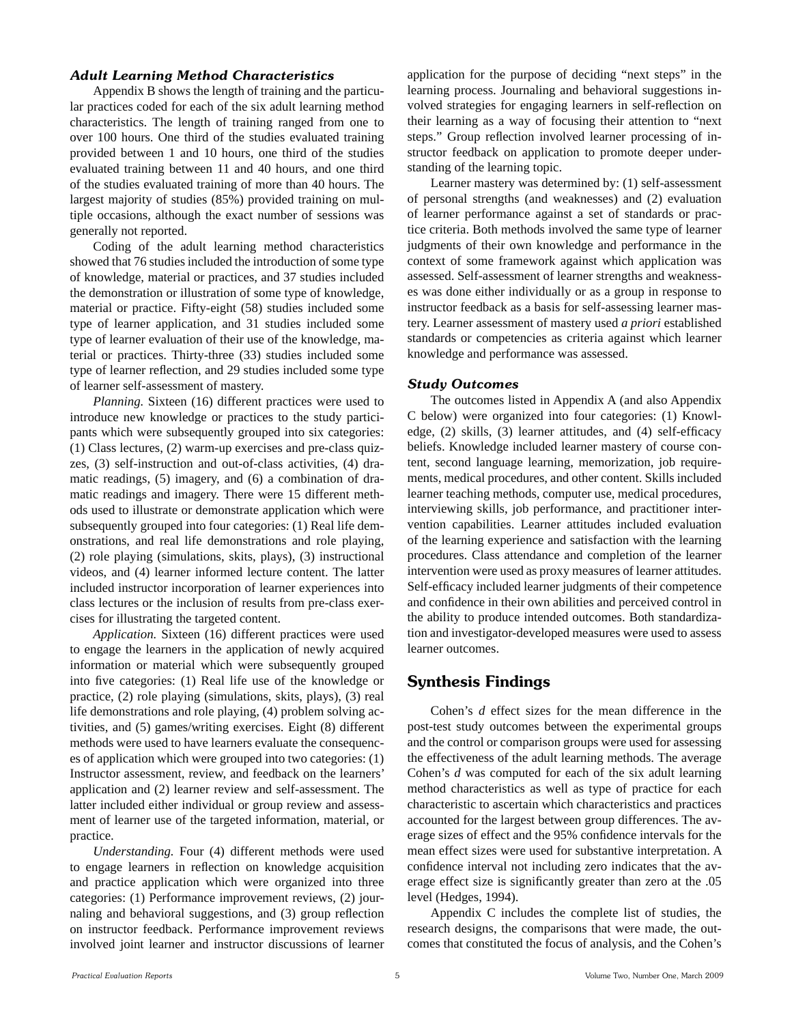#### *Adult Learning Method Characteristics*

 Appendix B shows the length of training and the particular practices coded for each of the six adult learning method characteristics. The length of training ranged from one to over 100 hours. One third of the studies evaluated training provided between 1 and 10 hours, one third of the studies evaluated training between 11 and 40 hours, and one third of the studies evaluated training of more than 40 hours. The largest majority of studies (85%) provided training on multiple occasions, although the exact number of sessions was generally not reported.

 Coding of the adult learning method characteristics showed that 76 studies included the introduction of some type of knowledge, material or practices, and 37 studies included the demonstration or illustration of some type of knowledge, material or practice. Fifty-eight (58) studies included some type of learner application, and 31 studies included some type of learner evaluation of their use of the knowledge, material or practices. Thirty-three (33) studies included some type of learner reflection, and 29 studies included some type of learner self-assessment of mastery.

*Planning.* Sixteen (16) different practices were used to introduce new knowledge or practices to the study participants which were subsequently grouped into six categories: (1) Class lectures, (2) warm-up exercises and pre-class quizzes, (3) self-instruction and out-of-class activities, (4) dramatic readings, (5) imagery, and (6) a combination of dramatic readings and imagery. There were 15 different methods used to illustrate or demonstrate application which were subsequently grouped into four categories: (1) Real life demonstrations, and real life demonstrations and role playing, (2) role playing (simulations, skits, plays), (3) instructional videos, and (4) learner informed lecture content. The latter included instructor incorporation of learner experiences into class lectures or the inclusion of results from pre-class exercises for illustrating the targeted content.

*Application.* Sixteen (16) different practices were used to engage the learners in the application of newly acquired information or material which were subsequently grouped into five categories: (1) Real life use of the knowledge or practice, (2) role playing (simulations, skits, plays), (3) real life demonstrations and role playing, (4) problem solving activities, and (5) games/writing exercises. Eight (8) different methods were used to have learners evaluate the consequences of application which were grouped into two categories: (1) Instructor assessment, review, and feedback on the learners' application and (2) learner review and self-assessment. The latter included either individual or group review and assessment of learner use of the targeted information, material, or practice.

*Understanding.* Four (4) different methods were used to engage learners in reflection on knowledge acquisition and practice application which were organized into three categories: (1) Performance improvement reviews, (2) journaling and behavioral suggestions, and (3) group reflection on instructor feedback. Performance improvement reviews involved joint learner and instructor discussions of learner application for the purpose of deciding "next steps" in the learning process. Journaling and behavioral suggestions involved strategies for engaging learners in self-reflection on their learning as a way of focusing their attention to "next steps." Group reflection involved learner processing of instructor feedback on application to promote deeper understanding of the learning topic.

 Learner mastery was determined by: (1) self-assessment of personal strengths (and weaknesses) and (2) evaluation of learner performance against a set of standards or practice criteria. Both methods involved the same type of learner judgments of their own knowledge and performance in the context of some framework against which application was assessed. Self-assessment of learner strengths and weaknesses was done either individually or as a group in response to instructor feedback as a basis for self-assessing learner mastery. Learner assessment of mastery used *a priori* established standards or competencies as criteria against which learner knowledge and performance was assessed.

#### *Study Outcomes*

 The outcomes listed in Appendix A (and also Appendix C below) were organized into four categories: (1) Knowledge, (2) skills, (3) learner attitudes, and (4) self-efficacy beliefs. Knowledge included learner mastery of course content, second language learning, memorization, job requirements, medical procedures, and other content. Skills included learner teaching methods, computer use, medical procedures, interviewing skills, job performance, and practitioner intervention capabilities. Learner attitudes included evaluation of the learning experience and satisfaction with the learning procedures. Class attendance and completion of the learner intervention were used as proxy measures of learner attitudes. Self-efficacy included learner judgments of their competence and confidence in their own abilities and perceived control in the ability to produce intended outcomes. Both standardization and investigator-developed measures were used to assess learner outcomes.

#### **Synthesis Findings**

 Cohen's *d* effect sizes for the mean difference in the post-test study outcomes between the experimental groups and the control or comparison groups were used for assessing the effectiveness of the adult learning methods. The average Cohen's *d* was computed for each of the six adult learning method characteristics as well as type of practice for each characteristic to ascertain which characteristics and practices accounted for the largest between group differences. The average sizes of effect and the 95% confidence intervals for the mean effect sizes were used for substantive interpretation. A confidence interval not including zero indicates that the average effect size is significantly greater than zero at the .05 level (Hedges, 1994).

 Appendix C includes the complete list of studies, the research designs, the comparisons that were made, the outcomes that constituted the focus of analysis, and the Cohen's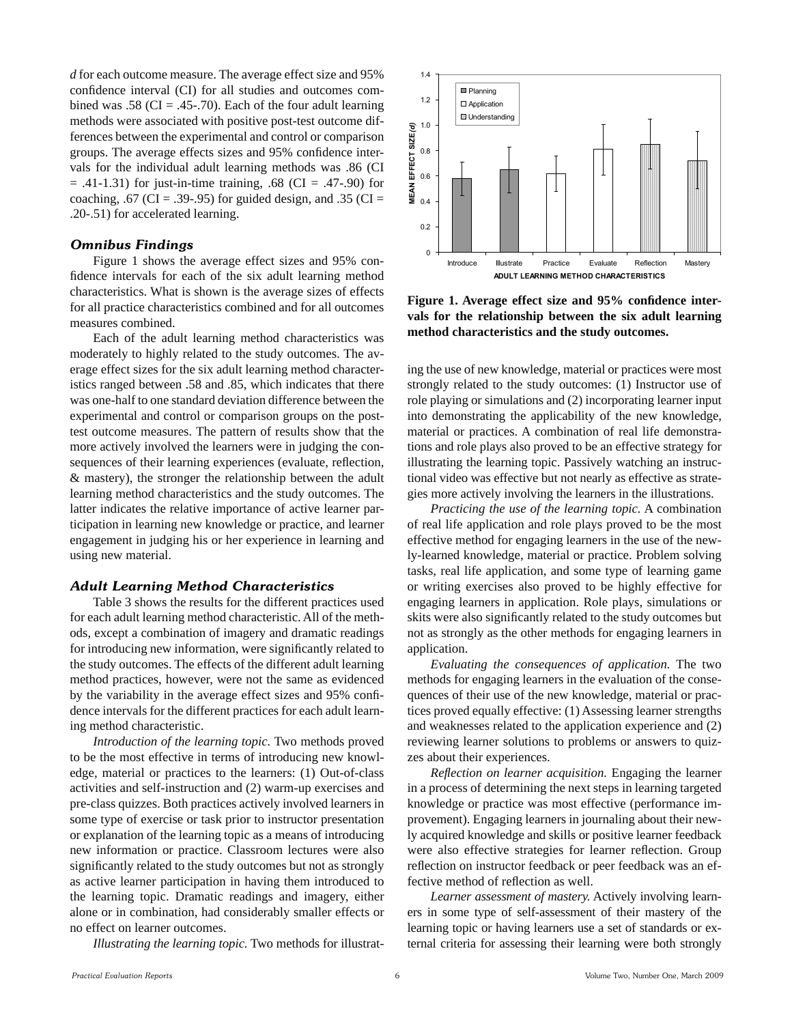*d* for each outcome measure. The average effect size and 95% confidence interval (CI) for all studies and outcomes combined was .58 (CI = .45-.70). Each of the four adult learning methods were associated with positive post-test outcome differences between the experimental and control or comparison groups. The average effects sizes and 95% confidence intervals for the individual adult learning methods was .86 (CI  $= .41 - 1.31$ ) for just-in-time training,  $.68$  (CI  $= .47 - .90$ ) for coaching, .67 (CI = .39-.95) for guided design, and .35 (CI = .20-.51) for accelerated learning.

#### *Omnibus Findings*

 Figure 1 shows the average effect sizes and 95% confidence intervals for each of the six adult learning method characteristics. What is shown is the average sizes of effects for all practice characteristics combined and for all outcomes measures combined.

 Each of the adult learning method characteristics was moderately to highly related to the study outcomes. The average effect sizes for the six adult learning method characteristics ranged between .58 and .85, which indicates that there was one-half to one standard deviation difference between the experimental and control or comparison groups on the posttest outcome measures. The pattern of results show that the more actively involved the learners were in judging the consequences of their learning experiences (evaluate, reflection, & mastery), the stronger the relationship between the adult learning method characteristics and the study outcomes. The latter indicates the relative importance of active learner participation in learning new knowledge or practice, and learner engagement in judging his or her experience in learning and using new material.

#### *Adult Learning Method Characteristics*

 Table 3 shows the results for the different practices used for each adult learning method characteristic. All of the methods, except a combination of imagery and dramatic readings for introducing new information, were significantly related to the study outcomes. The effects of the different adult learning method practices, however, were not the same as evidenced by the variability in the average effect sizes and 95% confidence intervals for the different practices for each adult learning method characteristic.

*Introduction of the learning topic.* Two methods proved to be the most effective in terms of introducing new knowledge, material or practices to the learners: (1) Out-of-class activities and self-instruction and (2) warm-up exercises and pre-class quizzes. Both practices actively involved learners in some type of exercise or task prior to instructor presentation or explanation of the learning topic as a means of introducing new information or practice. Classroom lectures were also significantly related to the study outcomes but not as strongly as active learner participation in having them introduced to the learning topic. Dramatic readings and imagery, either alone or in combination, had considerably smaller effects or no effect on learner outcomes.

*Illustrating the learning topic.* Two methods for illustrat-



Figure 1. Average effect size and 95% confidence inter**vals for the relationship between the six adult learning method characteristics and the study outcomes.**

ing the use of new knowledge, material or practices were most strongly related to the study outcomes: (1) Instructor use of role playing or simulations and (2) incorporating learner input into demonstrating the applicability of the new knowledge, material or practices. A combination of real life demonstrations and role plays also proved to be an effective strategy for illustrating the learning topic. Passively watching an instructional video was effective but not nearly as effective as strategies more actively involving the learners in the illustrations.

*Practicing the use of the learning topic.* A combination of real life application and role plays proved to be the most effective method for engaging learners in the use of the newly-learned knowledge, material or practice. Problem solving tasks, real life application, and some type of learning game or writing exercises also proved to be highly effective for engaging learners in application. Role plays, simulations or skits were also significantly related to the study outcomes but not as strongly as the other methods for engaging learners in application.

*Evaluating the consequences of application.* The two methods for engaging learners in the evaluation of the consequences of their use of the new knowledge, material or practices proved equally effective: (1) Assessing learner strengths and weaknesses related to the application experience and (2) reviewing learner solutions to problems or answers to quizzes about their experiences.

*Reflection on learner acquisition.* Engaging the learner in a process of determining the next steps in learning targeted knowledge or practice was most effective (performance improvement). Engaging learners in journaling about their newly acquired knowledge and skills or positive learner feedback were also effective strategies for learner reflection. Group reflection on instructor feedback or peer feedback was an effective method of reflection as well.

*Learner assessment of mastery.* Actively involving learners in some type of self-assessment of their mastery of the learning topic or having learners use a set of standards or external criteria for assessing their learning were both strongly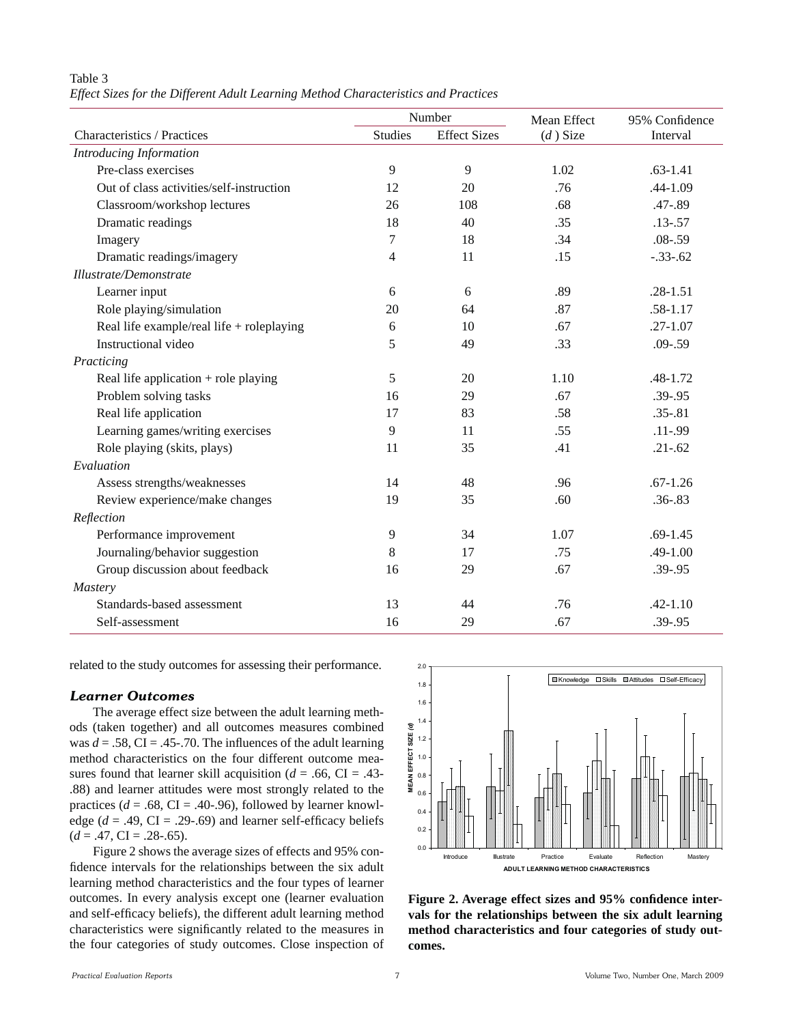#### Table 3

*Effect Sizes for the Different Adult Learning Method Characteristics and Practices*

| Number                                    |                |                     | Mean Effect | 95% Confidence |  |
|-------------------------------------------|----------------|---------------------|-------------|----------------|--|
| Characteristics / Practices               | <b>Studies</b> | <b>Effect Sizes</b> | $(d)$ Size  | Interval       |  |
| Introducing Information                   |                |                     |             |                |  |
| Pre-class exercises                       | 9              | 9                   | 1.02        | $.63 - 1.41$   |  |
| Out of class activities/self-instruction  | 12             | 20                  | .76         | .44-1.09       |  |
| Classroom/workshop lectures               | 26             | 108                 | .68         | $.47 - .89$    |  |
| Dramatic readings                         | 18             | 40                  | .35         | $.13 - .57$    |  |
| Imagery                                   | 7              | 18                  | .34         | $.08 - .59$    |  |
| Dramatic readings/imagery                 | 4              | 11                  | .15         | $-.33-.62$     |  |
| Illustrate/Demonstrate                    |                |                     |             |                |  |
| Learner input                             | 6              | 6                   | .89         | $.28 - 1.51$   |  |
| Role playing/simulation                   | 20             | 64                  | .87         | $.58 - 1.17$   |  |
| Real life example/real life + roleplaying | 6              | 10                  | .67         | $.27 - 1.07$   |  |
| Instructional video                       | 5              | 49                  | .33         | $.09 - .59$    |  |
| Practicing                                |                |                     |             |                |  |
| Real life application $+$ role playing    | 5              | 20                  | 1.10        | $.48 - 1.72$   |  |
| Problem solving tasks                     | 16             | 29                  | .67         | $.39 - .95$    |  |
| Real life application                     | 17             | 83                  | .58         | $.35 - .81$    |  |
| Learning games/writing exercises          | 9              | 11                  | .55         | $.11 - .99$    |  |
| Role playing (skits, plays)               | 11             | 35                  | .41         | $.21 - .62$    |  |
| Evaluation                                |                |                     |             |                |  |
| Assess strengths/weaknesses               | 14             | 48                  | .96         | $.67 - 1.26$   |  |
| Review experience/make changes            | 19             | 35                  | .60         | $.36 - .83$    |  |
| Reflection                                |                |                     |             |                |  |
| Performance improvement                   | 9              | 34                  | 1.07        | $.69 - 1.45$   |  |
| Journaling/behavior suggestion            | 8              | 17                  | .75         | $.49 - 1.00$   |  |
| Group discussion about feedback           | 16             | 29                  | .67         | $.39 - .95$    |  |
| <i>Mastery</i>                            |                |                     |             |                |  |
| Standards-based assessment                | 13             | 44                  | .76         | $.42 - 1.10$   |  |
| Self-assessment                           | 16             | 29                  | .67         | $.39 - .95$    |  |

related to the study outcomes for assessing their performance.

#### *Learner Outcomes*

 The average effect size between the adult learning methods (taken together) and all outcomes measures combined was  $d = .58$ , CI = .45-.70. The influences of the adult learning method characteristics on the four different outcome measures found that learner skill acquisition ( $d = .66$ , CI = .43-.88) and learner attitudes were most strongly related to the practices ( $d = .68$ , CI = .40-.96), followed by learner knowledge  $(d = .49, CI = .29-.69)$  and learner self-efficacy beliefs  $(d = .47, CI = .28-.65).$ 

Figure 2 shows the average sizes of effects and 95% confidence intervals for the relationships between the six adult learning method characteristics and the four types of learner outcomes. In every analysis except one (learner evaluation and self-efficacy beliefs), the different adult learning method characteristics were significantly related to the measures in the four categories of study outcomes. Close inspection of



Figure 2. Average effect sizes and 95% confidence inter**vals for the relationships between the six adult learning method characteristics and four categories of study outcomes.**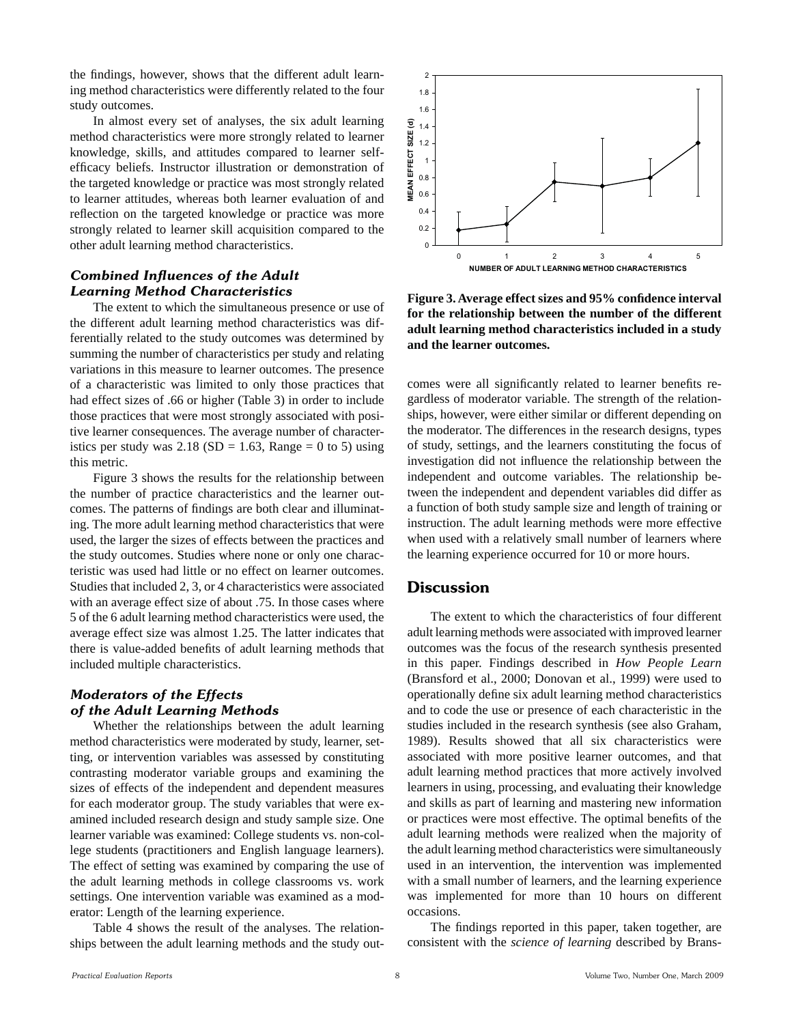the findings, however, shows that the different adult learning method characteristics were differently related to the four study outcomes.

In almost every set of analyses, the six adult learning method characteristics were more strongly related to learner knowledge, skills, and attitudes compared to learner selfefficacy beliefs. Instructor illustration or demonstration of the targeted knowledge or practice was most strongly related to learner attitudes, whereas both learner evaluation of and reflection on the targeted knowledge or practice was more strongly related to learner skill acquisition compared to the other adult learning method characteristics.

#### *Combined Influences of the Adult Learning Method Characteristics*

 The extent to which the simultaneous presence or use of the different adult learning method characteristics was differentially related to the study outcomes was determined by summing the number of characteristics per study and relating variations in this measure to learner outcomes. The presence of a characteristic was limited to only those practices that had effect sizes of .66 or higher (Table 3) in order to include those practices that were most strongly associated with positive learner consequences. The average number of characteristics per study was  $2.18$  (SD = 1.63, Range = 0 to 5) using this metric.

 Figure 3 shows the results for the relationship between the number of practice characteristics and the learner outcomes. The patterns of findings are both clear and illuminating. The more adult learning method characteristics that were used, the larger the sizes of effects between the practices and the study outcomes. Studies where none or only one characteristic was used had little or no effect on learner outcomes. Studies that included 2, 3, or 4 characteristics were associated with an average effect size of about .75. In those cases where 5 of the 6 adult learning method characteristics were used, the average effect size was almost 1.25. The latter indicates that there is value-added benefits of adult learning methods that included multiple characteristics.

#### *Moderators of the Effects of the Adult Learning Methods*

 Whether the relationships between the adult learning method characteristics were moderated by study, learner, setting, or intervention variables was assessed by constituting contrasting moderator variable groups and examining the sizes of effects of the independent and dependent measures for each moderator group. The study variables that were examined included research design and study sample size. One learner variable was examined: College students vs. non-college students (practitioners and English language learners). The effect of setting was examined by comparing the use of the adult learning methods in college classrooms vs. work settings. One intervention variable was examined as a moderator: Length of the learning experience.

 Table 4 shows the result of the analyses. The relationships between the adult learning methods and the study out-



**Figure 3. Average effect sizes and 95% confidence interval for the relationship between the number of the different adult learning method characteristics included in a study and the learner outcomes.**

comes were all significantly related to learner benefits regardless of moderator variable. The strength of the relationships, however, were either similar or different depending on the moderator. The differences in the research designs, types of study, settings, and the learners constituting the focus of investigation did not influence the relationship between the independent and outcome variables. The relationship between the independent and dependent variables did differ as a function of both study sample size and length of training or instruction. The adult learning methods were more effective when used with a relatively small number of learners where the learning experience occurred for 10 or more hours.

#### **Discussion**

 The extent to which the characteristics of four different adult learning methods were associated with improved learner outcomes was the focus of the research synthesis presented in this paper. Findings described in *How People Learn* (Bransford et al., 2000; Donovan et al., 1999) were used to operationally define six adult learning method characteristics and to code the use or presence of each characteristic in the studies included in the research synthesis (see also Graham, 1989). Results showed that all six characteristics were associated with more positive learner outcomes, and that adult learning method practices that more actively involved learners in using, processing, and evaluating their knowledge and skills as part of learning and mastering new information or practices were most effective. The optimal benefits of the adult learning methods were realized when the majority of the adult learning method characteristics were simultaneously used in an intervention, the intervention was implemented with a small number of learners, and the learning experience was implemented for more than 10 hours on different occasions.

 The findings reported in this paper, taken together, are consistent with the *science of learning* described by Brans-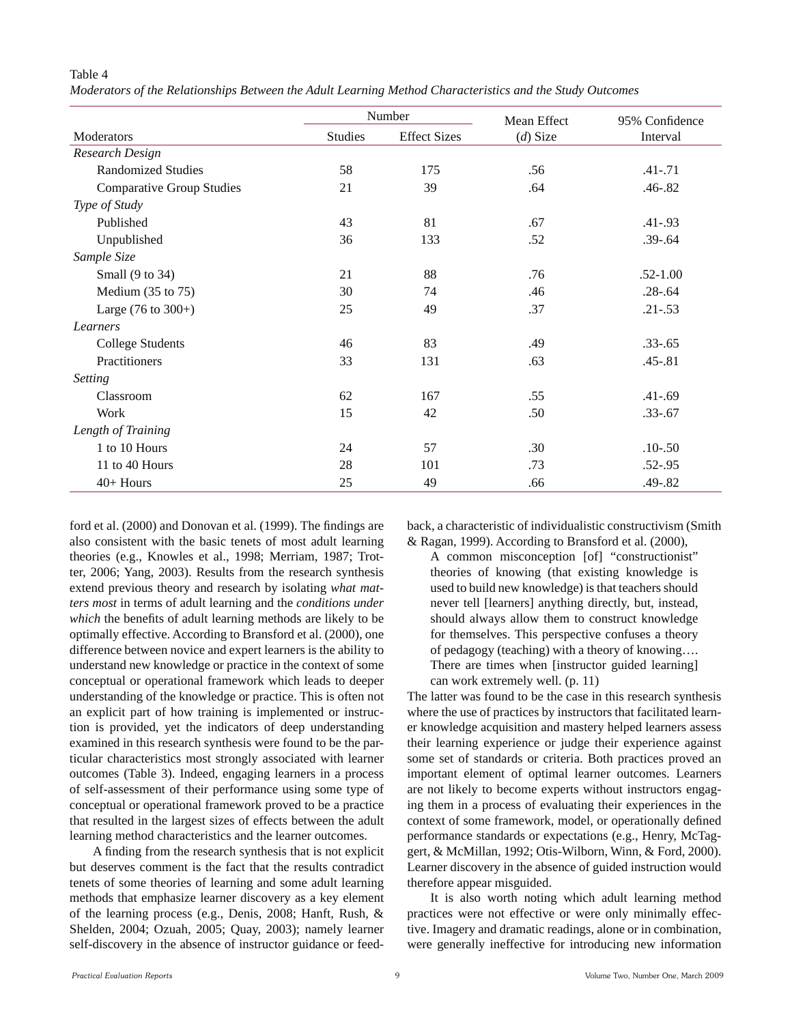#### Table 4

*Moderators of the Relationships Between the Adult Learning Method Characteristics and the Study Outcomes*

|                                  |                | Number              | Mean Effect | 95% Confidence |  |
|----------------------------------|----------------|---------------------|-------------|----------------|--|
| Moderators                       | <b>Studies</b> | <b>Effect Sizes</b> | $(d)$ Size  | Interval       |  |
| <b>Research Design</b>           |                |                     |             |                |  |
| <b>Randomized Studies</b>        | 58             | 175                 | .56         | $.41 - .71$    |  |
| <b>Comparative Group Studies</b> | 21             | 39                  | .64         | $.46 - .82$    |  |
| Type of Study                    |                |                     |             |                |  |
| Published                        | 43             | 81                  | .67         | $.41 - .93$    |  |
| Unpublished                      | 36             | 133                 | .52         | $.39 - .64$    |  |
| Sample Size                      |                |                     |             |                |  |
| Small (9 to 34)                  | 21             | 88                  | .76         | $.52 - 1.00$   |  |
| Medium $(35$ to $75)$            | 30             | 74                  | .46         | $.28 - .64$    |  |
| Large $(76 \text{ to } 300+)$    | 25             | 49                  | .37         | $.21 - .53$    |  |
| Learners                         |                |                     |             |                |  |
| <b>College Students</b>          | 46             | 83                  | .49         | $.33 - .65$    |  |
| Practitioners                    | 33             | 131                 | .63         | $.45 - .81$    |  |
| <b>Setting</b>                   |                |                     |             |                |  |
| Classroom                        | 62             | 167                 | .55         | $.41 - .69$    |  |
| Work                             | 15             | 42                  | .50         | $.33 - .67$    |  |
| Length of Training               |                |                     |             |                |  |
| 1 to 10 Hours                    | 24             | 57                  | .30         | $.10 - .50$    |  |
| 11 to 40 Hours                   | 28             | 101                 | .73         | $.52 - .95$    |  |
| $40+$ Hours                      | 25             | 49                  | .66         | .49-.82        |  |

ford et al. (2000) and Donovan et al. (1999). The findings are also consistent with the basic tenets of most adult learning theories (e.g., Knowles et al., 1998; Merriam, 1987; Trotter, 2006; Yang, 2003). Results from the research synthesis extend previous theory and research by isolating *what matters most* in terms of adult learning and the *conditions under which* the benefits of adult learning methods are likely to be optimally effective. According to Bransford et al. (2000), one difference between novice and expert learners is the ability to understand new knowledge or practice in the context of some conceptual or operational framework which leads to deeper understanding of the knowledge or practice. This is often not an explicit part of how training is implemented or instruction is provided, yet the indicators of deep understanding examined in this research synthesis were found to be the particular characteristics most strongly associated with learner outcomes (Table 3). Indeed, engaging learners in a process of self-assessment of their performance using some type of conceptual or operational framework proved to be a practice that resulted in the largest sizes of effects between the adult learning method characteristics and the learner outcomes.

 A finding from the research synthesis that is not explicit but deserves comment is the fact that the results contradict tenets of some theories of learning and some adult learning methods that emphasize learner discovery as a key element of the learning process (e.g., Denis, 2008; Hanft, Rush, & Shelden, 2004; Ozuah, 2005; Quay, 2003); namely learner self-discovery in the absence of instructor guidance or feedback, a characteristic of individualistic constructivism (Smith & Ragan, 1999). According to Bransford et al. (2000),

A common misconception [of] "constructionist" theories of knowing (that existing knowledge is used to build new knowledge) is that teachers should never tell [learners] anything directly, but, instead, should always allow them to construct knowledge for themselves. This perspective confuses a theory of pedagogy (teaching) with a theory of knowing…. There are times when [instructor guided learning] can work extremely well. (p. 11)

The latter was found to be the case in this research synthesis where the use of practices by instructors that facilitated learner knowledge acquisition and mastery helped learners assess their learning experience or judge their experience against some set of standards or criteria. Both practices proved an important element of optimal learner outcomes. Learners are not likely to become experts without instructors engaging them in a process of evaluating their experiences in the context of some framework, model, or operationally defined performance standards or expectations (e.g., Henry, McTaggert, & McMillan, 1992; Otis-Wilborn, Winn, & Ford, 2000). Learner discovery in the absence of guided instruction would therefore appear misguided.

 It is also worth noting which adult learning method practices were not effective or were only minimally effective. Imagery and dramatic readings, alone or in combination, were generally ineffective for introducing new information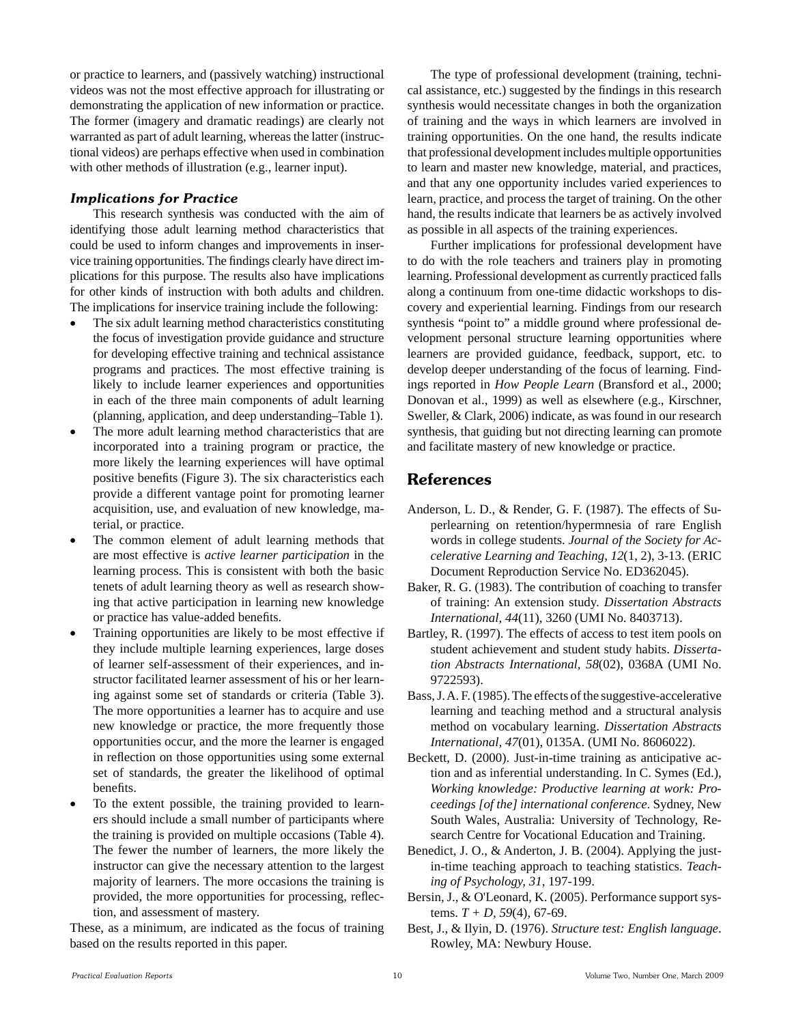or practice to learners, and (passively watching) instructional videos was not the most effective approach for illustrating or demonstrating the application of new information or practice. The former (imagery and dramatic readings) are clearly not warranted as part of adult learning, whereas the latter (instructional videos) are perhaps effective when used in combination with other methods of illustration (e.g., learner input).

#### *Implications for Practice*

This research synthesis was conducted with the aim of identifying those adult learning method characteristics that could be used to inform changes and improvements in inservice training opportunities. The findings clearly have direct implications for this purpose. The results also have implications for other kinds of instruction with both adults and children. The implications for inservice training include the following:

- The six adult learning method characteristics constituting the focus of investigation provide guidance and structure for developing effective training and technical assistance programs and practices. The most effective training is likely to include learner experiences and opportunities in each of the three main components of adult learning (planning, application, and deep understanding–Table 1).
- The more adult learning method characteristics that are incorporated into a training program or practice, the more likely the learning experiences will have optimal positive benefits (Figure 3). The six characteristics each provide a different vantage point for promoting learner acquisition, use, and evaluation of new knowledge, material, or practice.
- The common element of adult learning methods that are most effective is *active learner participation* in the learning process. This is consistent with both the basic tenets of adult learning theory as well as research showing that active participation in learning new knowledge or practice has value-added benefits.
- Training opportunities are likely to be most effective if they include multiple learning experiences, large doses of learner self-assessment of their experiences, and instructor facilitated learner assessment of his or her learning against some set of standards or criteria (Table 3). The more opportunities a learner has to acquire and use new knowledge or practice, the more frequently those opportunities occur, and the more the learner is engaged in reflection on those opportunities using some external set of standards, the greater the likelihood of optimal benefits.
- To the extent possible, the training provided to learners should include a small number of participants where the training is provided on multiple occasions (Table 4). The fewer the number of learners, the more likely the instructor can give the necessary attention to the largest majority of learners. The more occasions the training is provided, the more opportunities for processing, reflection, and assessment of mastery.

These, as a minimum, are indicated as the focus of training based on the results reported in this paper.

 The type of professional development (training, technical assistance, etc.) suggested by the findings in this research synthesis would necessitate changes in both the organization of training and the ways in which learners are involved in training opportunities. On the one hand, the results indicate that professional development includes multiple opportunities to learn and master new knowledge, material, and practices, and that any one opportunity includes varied experiences to learn, practice, and process the target of training. On the other hand, the results indicate that learners be as actively involved as possible in all aspects of the training experiences.

 Further implications for professional development have to do with the role teachers and trainers play in promoting learning. Professional development as currently practiced falls along a continuum from one-time didactic workshops to discovery and experiential learning. Findings from our research synthesis "point to" a middle ground where professional development personal structure learning opportunities where learners are provided guidance, feedback, support, etc. to develop deeper understanding of the focus of learning. Findings reported in *How People Learn* (Bransford et al., 2000; Donovan et al., 1999) as well as elsewhere (e.g., Kirschner, Sweller, & Clark, 2006) indicate, as was found in our research synthesis, that guiding but not directing learning can promote and facilitate mastery of new knowledge or practice.

### **References**

- Anderson, L. D., & Render, G. F. (1987). The effects of Superlearning on retention/hypermnesia of rare English words in college students. *Journal of the Society for Accelerative Learning and Teaching, 12*(1, 2), 3-13. (ERIC Document Reproduction Service No. ED362045).
- Baker, R. G. (1983). The contribution of coaching to transfer of training: An extension study. *Dissertation Abstracts International, 44*(11), 3260 (UMI No. 8403713).
- Bartley, R. (1997). The effects of access to test item pools on student achievement and student study habits. *Dissertation Abstracts International, 58*(02), 0368A (UMI No. 9722593).
- Bass, J. A. F. (1985). The effects of the suggestive-accelerative learning and teaching method and a structural analysis method on vocabulary learning. *Dissertation Abstracts International, 47*(01), 0135A. (UMI No. 8606022).
- Beckett, D. (2000). Just-in-time training as anticipative action and as inferential understanding. In C. Symes (Ed.), *Working knowledge: Productive learning at work: Proceedings [of the] international conference*. Sydney, New South Wales, Australia: University of Technology, Research Centre for Vocational Education and Training.
- Benedict, J. O., & Anderton, J. B. (2004). Applying the justin-time teaching approach to teaching statistics. *Teaching of Psychology, 31*, 197-199.
- Bersin, J., & O'Leonard, K. (2005). Performance support systems. *T + D, 59*(4), 67-69.
- Best, J., & Ilyin, D. (1976). *Structure test: English language*. Rowley, MA: Newbury House.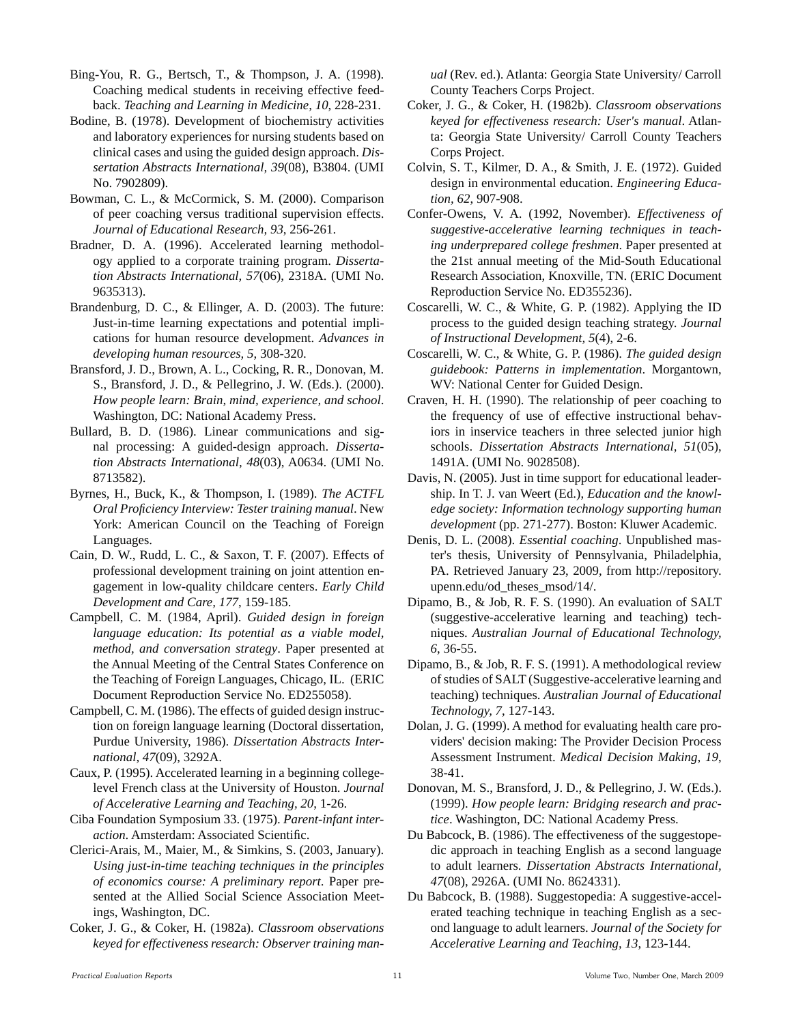Bing-You, R. G., Bertsch, T., & Thompson, J. A. (1998). Coaching medical students in receiving effective feedback. *Teaching and Learning in Medicine, 10*, 228-231.

- Bodine, B. (1978). Development of biochemistry activities and laboratory experiences for nursing students based on clinical cases and using the guided design approach. *Dissertation Abstracts International, 39*(08), B3804. (UMI No. 7902809).
- Bowman, C. L., & McCormick, S. M. (2000). Comparison of peer coaching versus traditional supervision effects. *Journal of Educational Research, 93*, 256-261.
- Bradner, D. A. (1996). Accelerated learning methodology applied to a corporate training program. *Dissertation Abstracts International, 57*(06), 2318A. (UMI No. 9635313).
- Brandenburg, D. C., & Ellinger, A. D. (2003). The future: Just-in-time learning expectations and potential implications for human resource development. *Advances in developing human resources, 5*, 308-320.
- Bransford, J. D., Brown, A. L., Cocking, R. R., Donovan, M. S., Bransford, J. D., & Pellegrino, J. W. (Eds.). (2000). *How people learn: Brain, mind, experience, and school*. Washington, DC: National Academy Press.
- Bullard, B. D. (1986). Linear communications and signal processing: A guided-design approach. *Dissertation Abstracts International, 48*(03), A0634. (UMI No. 8713582).
- Byrnes, H., Buck, K., & Thompson, I. (1989). *The ACTFL Oral Proficiency Interview: Tester training manual*. New York: American Council on the Teaching of Foreign Languages.
- Cain, D. W., Rudd, L. C., & Saxon, T. F. (2007). Effects of professional development training on joint attention engagement in low-quality childcare centers. *Early Child Development and Care, 177*, 159-185.
- Campbell, C. M. (1984, April). *Guided design in foreign language education: Its potential as a viable model, method, and conversation strategy*. Paper presented at the Annual Meeting of the Central States Conference on the Teaching of Foreign Languages, Chicago, IL. (ERIC Document Reproduction Service No. ED255058).
- Campbell, C. M. (1986). The effects of guided design instruction on foreign language learning (Doctoral dissertation, Purdue University, 1986). *Dissertation Abstracts International, 47*(09), 3292A.
- Caux, P. (1995). Accelerated learning in a beginning collegelevel French class at the University of Houston. *Journal of Accelerative Learning and Teaching, 20*, 1-26.
- Ciba Foundation Symposium 33. (1975). *Parent-infant interaction*. Amsterdam: Associated Scientific.
- Clerici-Arais, M., Maier, M., & Simkins, S. (2003, January). *Using just-in-time teaching techniques in the principles of economics course: A preliminary report*. Paper presented at the Allied Social Science Association Meetings, Washington, DC.
- Coker, J. G., & Coker, H. (1982a). *Classroom observations keyed for effectiveness research: Observer training man-*

*ual* (Rev. ed.). Atlanta: Georgia State University/ Carroll County Teachers Corps Project.

- Coker, J. G., & Coker, H. (1982b). *Classroom observations keyed for effectiveness research: User's manual*. Atlanta: Georgia State University/ Carroll County Teachers Corps Project.
- Colvin, S. T., Kilmer, D. A., & Smith, J. E. (1972). Guided design in environmental education. *Engineering Education, 62*, 907-908.
- Confer-Owens, V. A. (1992, November). *Effectiveness of suggestive-accelerative learning techniques in teaching underprepared college freshmen*. Paper presented at the 21st annual meeting of the Mid-South Educational Research Association, Knoxville, TN. (ERIC Document Reproduction Service No. ED355236).
- Coscarelli, W. C., & White, G. P. (1982). Applying the ID process to the guided design teaching strategy. *Journal of Instructional Development, 5*(4), 2-6.
- Coscarelli, W. C., & White, G. P. (1986). *The guided design guidebook: Patterns in implementation*. Morgantown, WV: National Center for Guided Design.
- Craven, H. H. (1990). The relationship of peer coaching to the frequency of use of effective instructional behaviors in inservice teachers in three selected junior high schools. *Dissertation Abstracts International, 51*(05), 1491A. (UMI No. 9028508).
- Davis, N. (2005). Just in time support for educational leadership. In T. J. van Weert (Ed.), *Education and the knowledge society: Information technology supporting human development* (pp. 271-277). Boston: Kluwer Academic.
- Denis, D. L. (2008). *Essential coaching*. Unpublished master's thesis, University of Pennsylvania, Philadelphia, PA. Retrieved January 23, 2009, from http://repository. upenn.edu/od\_theses\_msod/14/.
- Dipamo, B., & Job, R. F. S. (1990). An evaluation of SALT (suggestive-accelerative learning and teaching) techniques. *Australian Journal of Educational Technology, 6*, 36-55.
- Dipamo, B., & Job, R. F. S. (1991). A methodological review of studies of SALT (Suggestive-accelerative learning and teaching) techniques. *Australian Journal of Educational Technology, 7*, 127-143.
- Dolan, J. G. (1999). A method for evaluating health care providers' decision making: The Provider Decision Process Assessment Instrument. *Medical Decision Making, 19*, 38-41.
- Donovan, M. S., Bransford, J. D., & Pellegrino, J. W. (Eds.). (1999). *How people learn: Bridging research and practice*. Washington, DC: National Academy Press.
- Du Babcock, B. (1986). The effectiveness of the suggestopedic approach in teaching English as a second language to adult learners. *Dissertation Abstracts International, 47*(08), 2926A. (UMI No. 8624331).
- Du Babcock, B. (1988). Suggestopedia: A suggestive-accelerated teaching technique in teaching English as a second language to adult learners. *Journal of the Society for Accelerative Learning and Teaching, 13*, 123-144.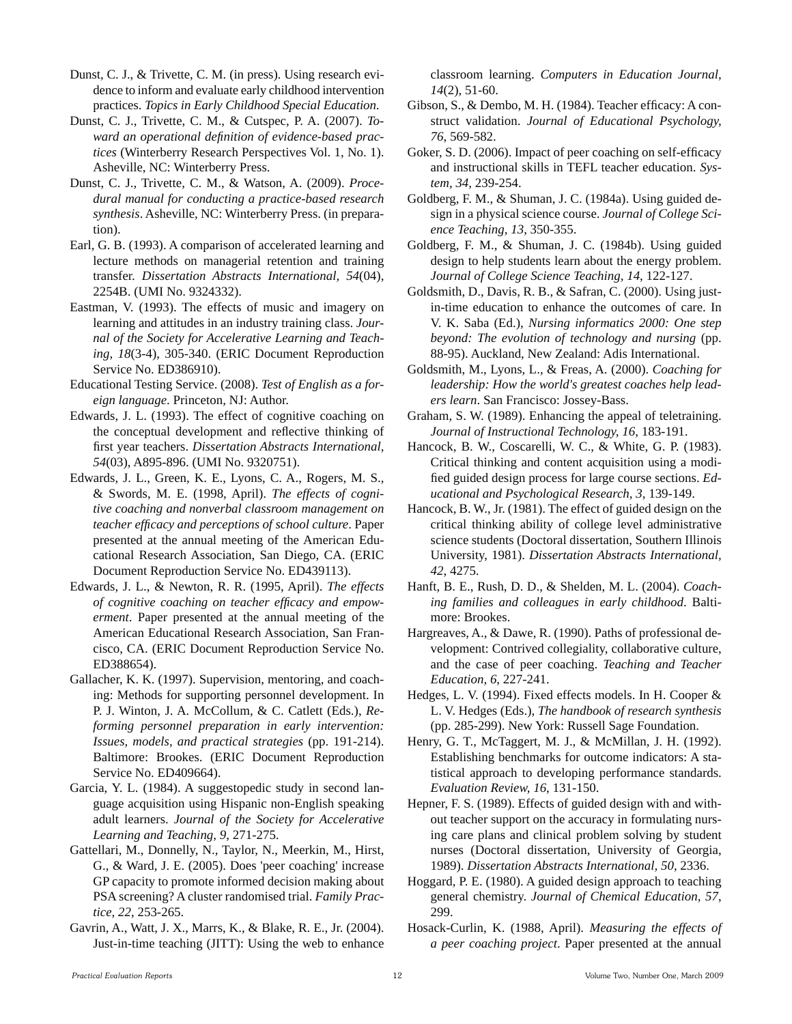Dunst, C. J., & Trivette, C. M. (in press). Using research evidence to inform and evaluate early childhood intervention practices. *Topics in Early Childhood Special Education*.

Dunst, C. J., Trivette, C. M., & Cutspec, P. A. (2007). *Toward an operational definition of evidence-based practices* (Winterberry Research Perspectives Vol. 1, No. 1). Asheville, NC: Winterberry Press.

Dunst, C. J., Trivette, C. M., & Watson, A. (2009). *Procedural manual for conducting a practice-based research synthesis*. Asheville, NC: Winterberry Press. (in preparation).

Earl, G. B. (1993). A comparison of accelerated learning and lecture methods on managerial retention and training transfer. *Dissertation Abstracts International, 54*(04), 2254B. (UMI No. 9324332).

Eastman, V. (1993). The effects of music and imagery on learning and attitudes in an industry training class. *Journal of the Society for Accelerative Learning and Teaching, 18*(3-4), 305-340. (ERIC Document Reproduction Service No. ED386910).

Educational Testing Service. (2008). *Test of English as a foreign language*. Princeton, NJ: Author.

Edwards, J. L. (1993). The effect of cognitive coaching on the conceptual development and reflective thinking of first year teachers. *Dissertation Abstracts International, 54*(03), A895-896. (UMI No. 9320751).

Edwards, J. L., Green, K. E., Lyons, C. A., Rogers, M. S., & Swords, M. E. (1998, April). *The effects of cognitive coaching and nonverbal classroom management on teacher efficacy and perceptions of school culture*. Paper presented at the annual meeting of the American Educational Research Association, San Diego, CA. (ERIC Document Reproduction Service No. ED439113).

Edwards, J. L., & Newton, R. R. (1995, April). *The effects of cognitive coaching on teacher efficacy and empowerment*. Paper presented at the annual meeting of the American Educational Research Association, San Francisco, CA. (ERIC Document Reproduction Service No. ED388654).

Gallacher, K. K. (1997). Supervision, mentoring, and coaching: Methods for supporting personnel development. In P. J. Winton, J. A. McCollum, & C. Catlett (Eds.), *Reforming personnel preparation in early intervention: Issues, models, and practical strategies* (pp. 191-214). Baltimore: Brookes. (ERIC Document Reproduction Service No. ED409664).

Garcia, Y. L. (1984). A suggestopedic study in second language acquisition using Hispanic non-English speaking adult learners. *Journal of the Society for Accelerative Learning and Teaching, 9*, 271-275.

Gattellari, M., Donnelly, N., Taylor, N., Meerkin, M., Hirst, G., & Ward, J. E. (2005). Does 'peer coaching' increase GP capacity to promote informed decision making about PSA screening? A cluster randomised trial. *Family Practice, 22*, 253-265.

Gavrin, A., Watt, J. X., Marrs, K., & Blake, R. E., Jr. (2004). Just-in-time teaching (JITT): Using the web to enhance classroom learning. *Computers in Education Journal, 14*(2), 51-60.

Gibson, S., & Dembo, M. H. (1984). Teacher efficacy: A construct validation. *Journal of Educational Psychology, 76*, 569-582.

Goker, S. D. (2006). Impact of peer coaching on self-efficacy and instructional skills in TEFL teacher education. *System, 34*, 239-254.

Goldberg, F. M., & Shuman, J. C. (1984a). Using guided design in a physical science course. *Journal of College Science Teaching, 13*, 350-355.

Goldberg, F. M., & Shuman, J. C. (1984b). Using guided design to help students learn about the energy problem. *Journal of College Science Teaching, 14*, 122-127.

Goldsmith, D., Davis, R. B., & Safran, C. (2000). Using justin-time education to enhance the outcomes of care. In V. K. Saba (Ed.), *Nursing informatics 2000: One step beyond: The evolution of technology and nursing* (pp. 88-95). Auckland, New Zealand: Adis International.

Goldsmith, M., Lyons, L., & Freas, A. (2000). *Coaching for leadership: How the world's greatest coaches help leaders learn*. San Francisco: Jossey-Bass.

Graham, S. W. (1989). Enhancing the appeal of teletraining. *Journal of Instructional Technology, 16*, 183-191.

Hancock, B. W., Coscarelli, W. C., & White, G. P. (1983). Critical thinking and content acquisition using a modified guided design process for large course sections. *Educational and Psychological Research, 3*, 139-149.

Hancock, B. W., Jr. (1981). The effect of guided design on the critical thinking ability of college level administrative science students (Doctoral dissertation, Southern Illinois University, 1981). *Dissertation Abstracts International, 42*, 4275.

Hanft, B. E., Rush, D. D., & Shelden, M. L. (2004). *Coaching families and colleagues in early childhood*. Baltimore: Brookes.

Hargreaves, A., & Dawe, R. (1990). Paths of professional development: Contrived collegiality, collaborative culture, and the case of peer coaching. *Teaching and Teacher Education, 6*, 227-241.

Hedges, L. V. (1994). Fixed effects models. In H. Cooper & L. V. Hedges (Eds.), *The handbook of research synthesis* (pp. 285-299). New York: Russell Sage Foundation.

Henry, G. T., McTaggert, M. J., & McMillan, J. H. (1992). Establishing benchmarks for outcome indicators: A statistical approach to developing performance standards. *Evaluation Review, 16*, 131-150.

Hepner, F. S. (1989). Effects of guided design with and without teacher support on the accuracy in formulating nursing care plans and clinical problem solving by student nurses (Doctoral dissertation, University of Georgia, 1989). *Dissertation Abstracts International, 50*, 2336.

Hoggard, P. E. (1980). A guided design approach to teaching general chemistry. *Journal of Chemical Education, 57*, 299.

Hosack-Curlin, K. (1988, April). *Measuring the effects of a peer coaching project*. Paper presented at the annual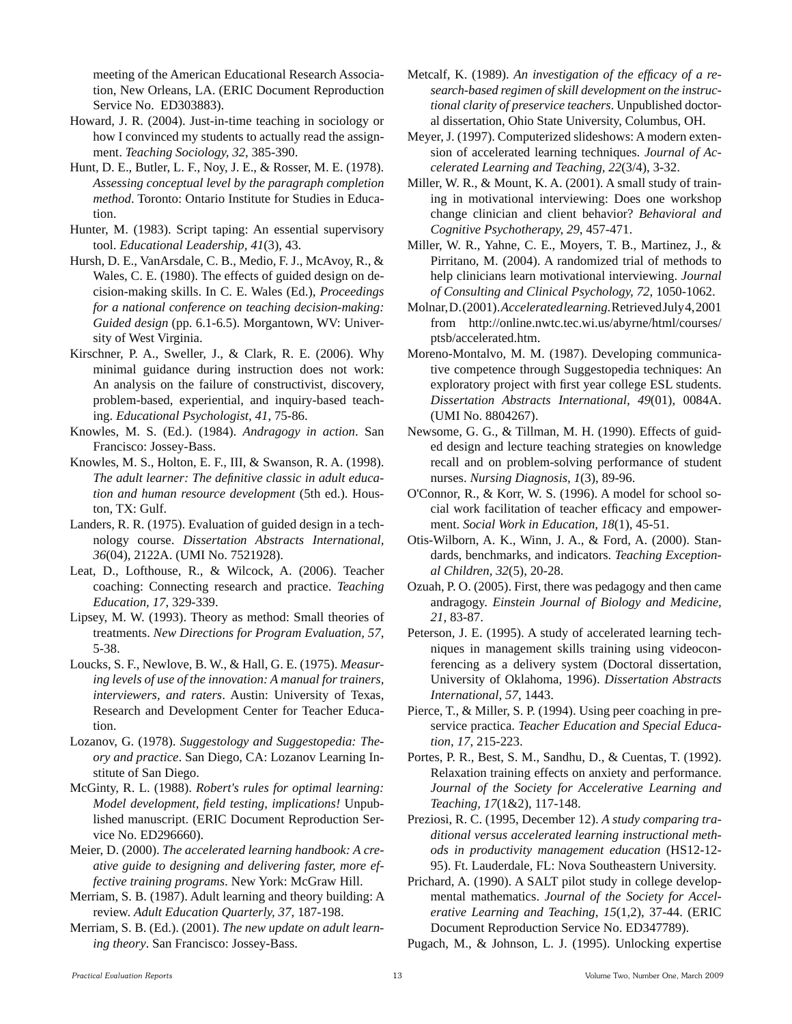meeting of the American Educational Research Association, New Orleans, LA. (ERIC Document Reproduction Service No. ED303883).

- Howard, J. R. (2004). Just-in-time teaching in sociology or how I convinced my students to actually read the assignment. *Teaching Sociology, 32*, 385-390.
- Hunt, D. E., Butler, L. F., Noy, J. E., & Rosser, M. E. (1978). *Assessing conceptual level by the paragraph completion method*. Toronto: Ontario Institute for Studies in Education.
- Hunter, M. (1983). Script taping: An essential supervisory tool. *Educational Leadership, 41*(3), 43.
- Hursh, D. E., VanArsdale, C. B., Medio, F. J., McAvoy, R., & Wales, C. E. (1980). The effects of guided design on decision-making skills. In C. E. Wales (Ed.), *Proceedings for a national conference on teaching decision-making: Guided design* (pp. 6.1-6.5). Morgantown, WV: University of West Virginia.
- Kirschner, P. A., Sweller, J., & Clark, R. E. (2006). Why minimal guidance during instruction does not work: An analysis on the failure of constructivist, discovery, problem-based, experiential, and inquiry-based teaching. *Educational Psychologist, 41*, 75-86.
- Knowles, M. S. (Ed.). (1984). *Andragogy in action*. San Francisco: Jossey-Bass.
- Knowles, M. S., Holton, E. F., III, & Swanson, R. A. (1998). *The adult learner: The definitive classic in adult education and human resource development* (5th ed.). Houston, TX: Gulf.
- Landers, R. R. (1975). Evaluation of guided design in a technology course. *Dissertation Abstracts International, 36*(04), 2122A. (UMI No. 7521928).
- Leat, D., Lofthouse, R., & Wilcock, A. (2006). Teacher coaching: Connecting research and practice. *Teaching Education, 17*, 329-339.
- Lipsey, M. W. (1993). Theory as method: Small theories of treatments. *New Directions for Program Evaluation, 57*, 5-38.
- Loucks, S. F., Newlove, B. W., & Hall, G. E. (1975). *Measuring levels of use of the innovation: A manual for trainers, interviewers, and raters*. Austin: University of Texas, Research and Development Center for Teacher Education.
- Lozanov, G. (1978). *Suggestology and Suggestopedia: Theory and practice*. San Diego, CA: Lozanov Learning Institute of San Diego.
- McGinty, R. L. (1988). *Robert's rules for optimal learning: Model development, field testing, implications!* Unpublished manuscript. (ERIC Document Reproduction Service No. ED296660).
- Meier, D. (2000). *The accelerated learning handbook: A creative guide to designing and delivering faster, more effective training programs*. New York: McGraw Hill.
- Merriam, S. B. (1987). Adult learning and theory building: A review. *Adult Education Quarterly, 37*, 187-198.
- Merriam, S. B. (Ed.). (2001). *The new update on adult learning theory*. San Francisco: Jossey-Bass.
- Metcalf, K. (1989). *An investigation of the efficacy of a research-based regimen of skill development on the instructional clarity of preservice teachers*. Unpublished doctoral dissertation, Ohio State University, Columbus, OH.
- Meyer, J. (1997). Computerized slideshows: A modern extension of accelerated learning techniques. *Journal of Accelerated Learning and Teaching, 22*(3/4), 3-32.
- Miller, W. R., & Mount, K. A. (2001). A small study of training in motivational interviewing: Does one workshop change clinician and client behavior? *Behavioral and Cognitive Psychotherapy, 29*, 457-471.
- Miller, W. R., Yahne, C. E., Moyers, T. B., Martinez, J., & Pirritano, M. (2004). A randomized trial of methods to help clinicians learn motivational interviewing. *Journal of Consulting and Clinical Psychology, 72*, 1050-1062.
- Molnar, D. (2001). *Accelerated learning*. Retrieved July 4, 2001 from http://online.nwtc.tec.wi.us/abyrne/html/courses/ ptsb/accelerated.htm.
- Moreno-Montalvo, M. M. (1987). Developing communicative competence through Suggestopedia techniques: An exploratory project with first year college ESL students. *Dissertation Abstracts International, 49*(01), 0084A. (UMI No. 8804267).
- Newsome, G. G., & Tillman, M. H. (1990). Effects of guided design and lecture teaching strategies on knowledge recall and on problem-solving performance of student nurses. *Nursing Diagnosis, 1*(3), 89-96.
- O'Connor, R., & Korr, W. S. (1996). A model for school social work facilitation of teacher efficacy and empowerment. *Social Work in Education, 18*(1), 45-51.
- Otis-Wilborn, A. K., Winn, J. A., & Ford, A. (2000). Standards, benchmarks, and indicators. *Teaching Exceptional Children, 32*(5), 20-28.
- Ozuah, P. O. (2005). First, there was pedagogy and then came andragogy. *Einstein Journal of Biology and Medicine, 21*, 83-87.
- Peterson, J. E. (1995). A study of accelerated learning techniques in management skills training using videoconferencing as a delivery system (Doctoral dissertation, University of Oklahoma, 1996). *Dissertation Abstracts International, 57*, 1443.
- Pierce, T., & Miller, S. P. (1994). Using peer coaching in preservice practica. *Teacher Education and Special Education, 17*, 215-223.
- Portes, P. R., Best, S. M., Sandhu, D., & Cuentas, T. (1992). Relaxation training effects on anxiety and performance. *Journal of the Society for Accelerative Learning and Teaching, 17*(1&2), 117-148.
- Preziosi, R. C. (1995, December 12). *A study comparing traditional versus accelerated learning instructional methods in productivity management education* (HS12-12- 95). Ft. Lauderdale, FL: Nova Southeastern University.
- Prichard, A. (1990). A SALT pilot study in college developmental mathematics. *Journal of the Society for Accelerative Learning and Teaching, 15*(1,2), 37-44. (ERIC Document Reproduction Service No. ED347789).
- Pugach, M., & Johnson, L. J. (1995). Unlocking expertise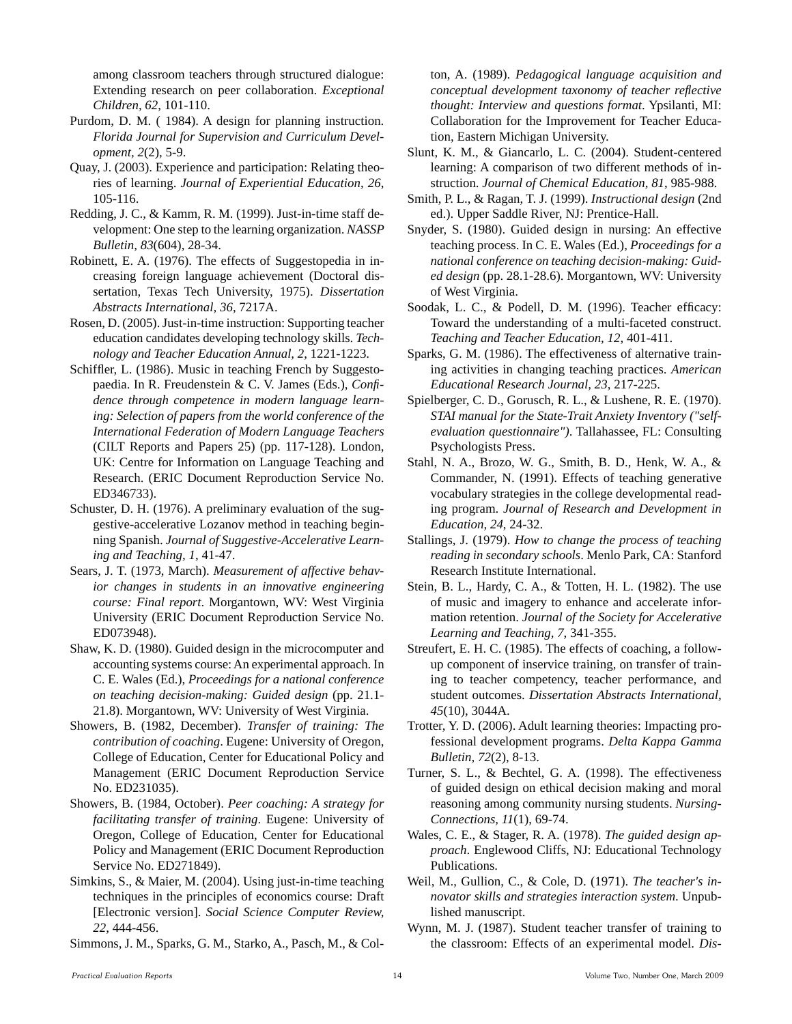among classroom teachers through structured dialogue: Extending research on peer collaboration. *Exceptional Children, 62*, 101-110.

- Purdom, D. M. ( 1984). A design for planning instruction. *Florida Journal for Supervision and Curriculum Development, 2*(2), 5-9.
- Quay, J. (2003). Experience and participation: Relating theories of learning. *Journal of Experiential Education, 26*, 105-116.
- Redding, J. C., & Kamm, R. M. (1999). Just-in-time staff development: One step to the learning organization. *NASSP Bulletin, 83*(604), 28-34.
- Robinett, E. A. (1976). The effects of Suggestopedia in increasing foreign language achievement (Doctoral dissertation, Texas Tech University, 1975). *Dissertation Abstracts International, 36*, 7217A.
- Rosen, D. (2005). Just-in-time instruction: Supporting teacher education candidates developing technology skills. *Technology and Teacher Education Annual, 2*, 1221-1223.
- Schiffler, L. (1986). Music in teaching French by Suggestopaedia. In R. Freudenstein & C. V. James (Eds.), *Confidence through competence in modern language learning: Selection of papers from the world conference of the International Federation of Modern Language Teachers* (CILT Reports and Papers 25) (pp. 117-128). London, UK: Centre for Information on Language Teaching and Research. (ERIC Document Reproduction Service No. ED346733).
- Schuster, D. H. (1976). A preliminary evaluation of the suggestive-accelerative Lozanov method in teaching beginning Spanish. *Journal of Suggestive-Accelerative Learning and Teaching, 1*, 41-47.
- Sears, J. T. (1973, March). *Measurement of affective behavior changes in students in an innovative engineering course: Final report*. Morgantown, WV: West Virginia University (ERIC Document Reproduction Service No. ED073948).
- Shaw, K. D. (1980). Guided design in the microcomputer and accounting systems course: An experimental approach. In C. E. Wales (Ed.), *Proceedings for a national conference on teaching decision-making: Guided design* (pp. 21.1- 21.8). Morgantown, WV: University of West Virginia.
- Showers, B. (1982, December). *Transfer of training: The contribution of coaching*. Eugene: University of Oregon, College of Education, Center for Educational Policy and Management (ERIC Document Reproduction Service No. ED231035).
- Showers, B. (1984, October). *Peer coaching: A strategy for facilitating transfer of training*. Eugene: University of Oregon, College of Education, Center for Educational Policy and Management (ERIC Document Reproduction Service No. ED271849).
- Simkins, S., & Maier, M. (2004). Using just-in-time teaching techniques in the principles of economics course: Draft [Electronic version]. *Social Science Computer Review, 22*, 444-456.
- Simmons, J. M., Sparks, G. M., Starko, A., Pasch, M., & Col-

ton, A. (1989). *Pedagogical language acquisition and conceptual development taxonomy of teacher reflective thought: Interview and questions format*. Ypsilanti, MI: Collaboration for the Improvement for Teacher Education, Eastern Michigan University.

- Slunt, K. M., & Giancarlo, L. C. (2004). Student-centered learning: A comparison of two different methods of instruction. *Journal of Chemical Education, 81*, 985-988.
- Smith, P. L., & Ragan, T. J. (1999). *Instructional design* (2nd ed.). Upper Saddle River, NJ: Prentice-Hall.
- Snyder, S. (1980). Guided design in nursing: An effective teaching process. In C. E. Wales (Ed.), *Proceedings for a national conference on teaching decision-making: Guided design* (pp. 28.1-28.6). Morgantown, WV: University of West Virginia.
- Soodak, L. C., & Podell, D. M. (1996). Teacher efficacy: Toward the understanding of a multi-faceted construct. *Teaching and Teacher Education, 12*, 401-411.
- Sparks, G. M. (1986). The effectiveness of alternative training activities in changing teaching practices. *American Educational Research Journal, 23*, 217-225.
- Spielberger, C. D., Gorusch, R. L., & Lushene, R. E. (1970). *STAI manual for the State-Trait Anxiety Inventory ("selfevaluation questionnaire")*. Tallahassee, FL: Consulting Psychologists Press.
- Stahl, N. A., Brozo, W. G., Smith, B. D., Henk, W. A., & Commander, N. (1991). Effects of teaching generative vocabulary strategies in the college developmental reading program. *Journal of Research and Development in Education, 24*, 24-32.
- Stallings, J. (1979). *How to change the process of teaching reading in secondary schools*. Menlo Park, CA: Stanford Research Institute International.
- Stein, B. L., Hardy, C. A., & Totten, H. L. (1982). The use of music and imagery to enhance and accelerate information retention. *Journal of the Society for Accelerative Learning and Teaching, 7*, 341-355.
- Streufert, E. H. C. (1985). The effects of coaching, a followup component of inservice training, on transfer of training to teacher competency, teacher performance, and student outcomes. *Dissertation Abstracts International, 45*(10), 3044A.
- Trotter, Y. D. (2006). Adult learning theories: Impacting professional development programs. *Delta Kappa Gamma Bulletin, 72*(2), 8-13.
- Turner, S. L., & Bechtel, G. A. (1998). The effectiveness of guided design on ethical decision making and moral reasoning among community nursing students. *Nursing-Connections, 11*(1), 69-74.
- Wales, C. E., & Stager, R. A. (1978). *The guided design approach*. Englewood Cliffs, NJ: Educational Technology Publications.
- Weil, M., Gullion, C., & Cole, D. (1971). *The teacher's innovator skills and strategies interaction system*. Unpublished manuscript.
- Wynn, M. J. (1987). Student teacher transfer of training to the classroom: Effects of an experimental model. *Dis-*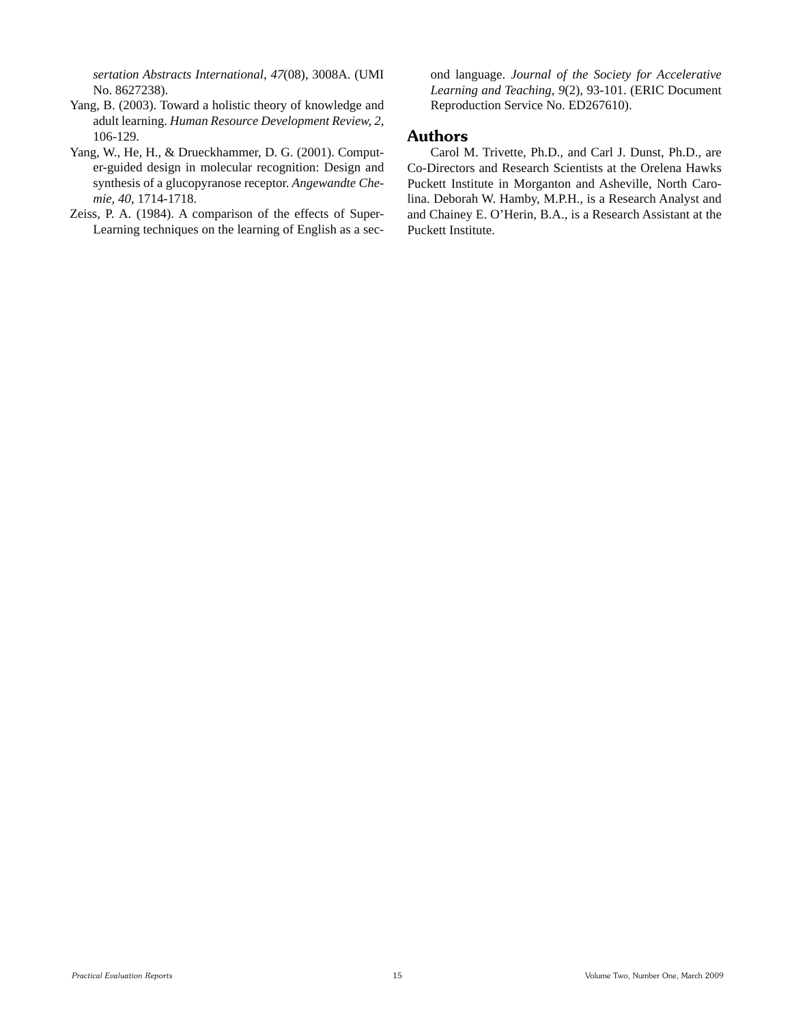*sertation Abstracts International, 47*(08), 3008A. (UMI No. 8627238).

- Yang, B. (2003). Toward a holistic theory of knowledge and adult learning. *Human Resource Development Review, 2*, 106-129.
- Yang, W., He, H., & Drueckhammer, D. G. (2001). Computer-guided design in molecular recognition: Design and synthesis of a glucopyranose receptor. *Angewandte Chemie, 40*, 1714-1718.
- Zeiss, P. A. (1984). A comparison of the effects of Super-Learning techniques on the learning of English as a sec-

ond language. *Journal of the Society for Accelerative Learning and Teaching, 9*(2), 93-101. (ERIC Document Reproduction Service No. ED267610).

#### **Authors**

 Carol M. Trivette, Ph.D., and Carl J. Dunst, Ph.D., are Co-Directors and Research Scientists at the Orelena Hawks Puckett Institute in Morganton and Asheville, North Carolina. Deborah W. Hamby, M.P.H., is a Research Analyst and and Chainey E. O'Herin, B.A., is a Research Assistant at the Puckett Institute.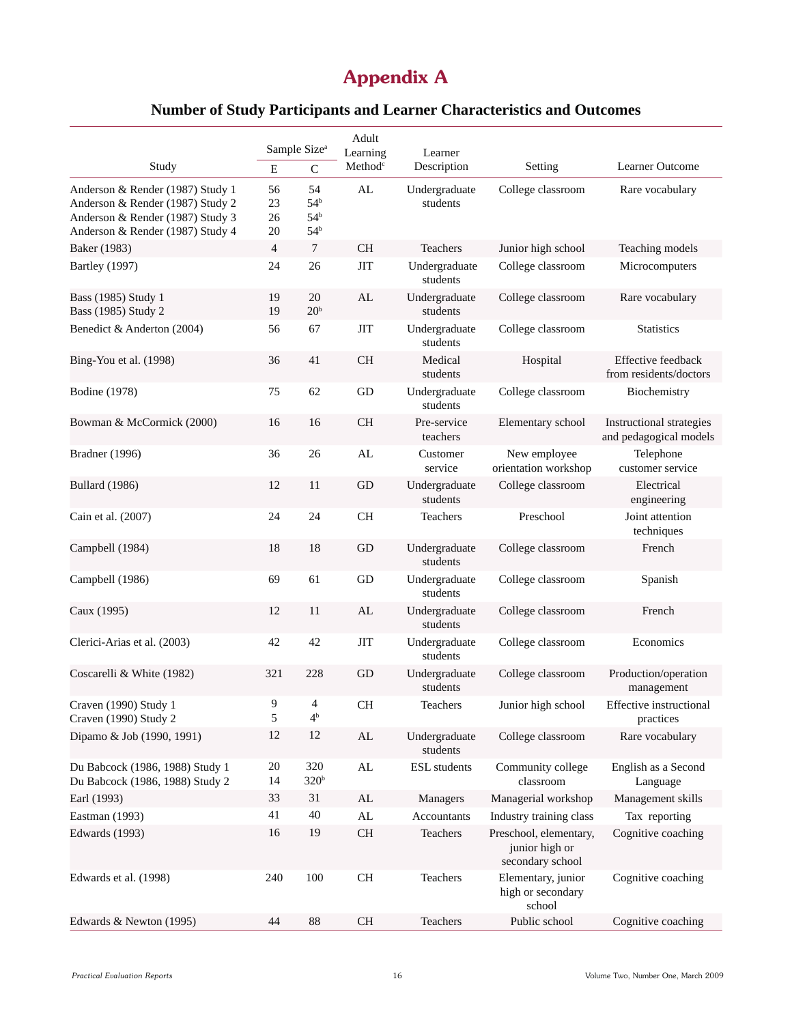## **Appendix A**

## **Number of Study Participants and Learner Characteristics and Outcomes**

|                                                                                                                                              | Adult<br>Sample Size <sup>a</sup><br>Learning<br>Learner |                                                             |                     |                           |                                                              |                                                    |
|----------------------------------------------------------------------------------------------------------------------------------------------|----------------------------------------------------------|-------------------------------------------------------------|---------------------|---------------------------|--------------------------------------------------------------|----------------------------------------------------|
| Study                                                                                                                                        | ${\bf E}$                                                | $\mathbf C$                                                 | Method <sup>c</sup> | Description               | Setting                                                      | Learner Outcome                                    |
| Anderson & Render (1987) Study 1<br>Anderson & Render (1987) Study 2<br>Anderson & Render (1987) Study 3<br>Anderson & Render (1987) Study 4 | 56<br>23<br>26<br>20                                     | 54<br>54 <sup>b</sup><br>54 <sup>b</sup><br>54 <sup>b</sup> | AL                  | Undergraduate<br>students | College classroom                                            | Rare vocabulary                                    |
| Baker (1983)                                                                                                                                 | $\overline{4}$                                           | 7                                                           | <b>CH</b>           | Teachers                  | Junior high school                                           | Teaching models                                    |
| <b>Bartley</b> (1997)                                                                                                                        | 24                                                       | 26                                                          | <b>JIT</b>          | Undergraduate<br>students | College classroom                                            | Microcomputers                                     |
| Bass (1985) Study 1<br>Bass (1985) Study 2                                                                                                   | 19<br>19                                                 | 20<br>20 <sup>b</sup>                                       | AL                  | Undergraduate<br>students | College classroom                                            | Rare vocabulary                                    |
| Benedict & Anderton (2004)                                                                                                                   | 56                                                       | 67                                                          | <b>JIT</b>          | Undergraduate<br>students | College classroom                                            | <b>Statistics</b>                                  |
| Bing-You et al. (1998)                                                                                                                       | 36                                                       | 41                                                          | <b>CH</b>           | Medical<br>students       | Hospital                                                     | Effective feedback<br>from residents/doctors       |
| Bodine (1978)                                                                                                                                | 75                                                       | 62                                                          | GD                  | Undergraduate<br>students | College classroom                                            | Biochemistry                                       |
| Bowman & McCormick (2000)                                                                                                                    | 16                                                       | 16                                                          | <b>CH</b>           | Pre-service<br>teachers   | Elementary school                                            | Instructional strategies<br>and pedagogical models |
| Bradner (1996)                                                                                                                               | 36                                                       | 26                                                          | AL                  | Customer<br>service       | New employee<br>orientation workshop                         | Telephone<br>customer service                      |
| <b>Bullard</b> (1986)                                                                                                                        | 12                                                       | 11                                                          | GD                  | Undergraduate<br>students | College classroom                                            | Electrical<br>engineering                          |
| Cain et al. (2007)                                                                                                                           | 24                                                       | 24                                                          | CH                  | Teachers                  | Preschool                                                    | Joint attention<br>techniques                      |
| Campbell (1984)                                                                                                                              | 18                                                       | 18                                                          | GD                  | Undergraduate<br>students | College classroom                                            | French                                             |
| Campbell (1986)                                                                                                                              | 69                                                       | 61                                                          | GD                  | Undergraduate<br>students | College classroom                                            | Spanish                                            |
| Caux (1995)                                                                                                                                  | 12                                                       | 11                                                          | AL                  | Undergraduate<br>students | College classroom                                            | French                                             |
| Clerici-Arias et al. (2003)                                                                                                                  | 42                                                       | 42                                                          | <b>JIT</b>          | Undergraduate<br>students | College classroom                                            | Economics                                          |
| Coscarelli & White (1982)                                                                                                                    | 321                                                      | 228                                                         | GD                  | Undergraduate<br>students | College classroom                                            | Production/operation<br>management                 |
| Craven (1990) Study 1<br>Craven (1990) Study 2                                                                                               | 9<br>5                                                   | 4<br>4 <sup>b</sup>                                         | CH                  | Teachers                  | Junior high school                                           | <b>Effective</b> instructional<br>practices        |
| Dipamo & Job (1990, 1991)                                                                                                                    | 12                                                       | 12                                                          | AL                  | Undergraduate<br>students | College classroom                                            | Rare vocabulary                                    |
| Du Babcock (1986, 1988) Study 1<br>Du Babcock (1986, 1988) Study 2                                                                           | 20<br>14                                                 | 320<br>320 <sup>b</sup>                                     | AL                  | <b>ESL</b> students       | Community college<br>classroom                               | English as a Second<br>Language                    |
| Earl (1993)                                                                                                                                  | 33                                                       | 31                                                          | ${\rm AL}$          | Managers                  | Managerial workshop                                          | Management skills                                  |
| Eastman (1993)                                                                                                                               | 41                                                       | 40                                                          | AL                  | Accountants               | Industry training class                                      | Tax reporting                                      |
| Edwards (1993)                                                                                                                               | 16                                                       | 19                                                          | CH                  | Teachers                  | Preschool, elementary,<br>junior high or<br>secondary school | Cognitive coaching                                 |
| Edwards et al. (1998)                                                                                                                        | 240                                                      | 100                                                         | <b>CH</b>           | Teachers                  | Elementary, junior<br>high or secondary<br>school            | Cognitive coaching                                 |
| Edwards & Newton (1995)                                                                                                                      | 44                                                       | 88                                                          | <b>CH</b>           | Teachers                  | Public school                                                | Cognitive coaching                                 |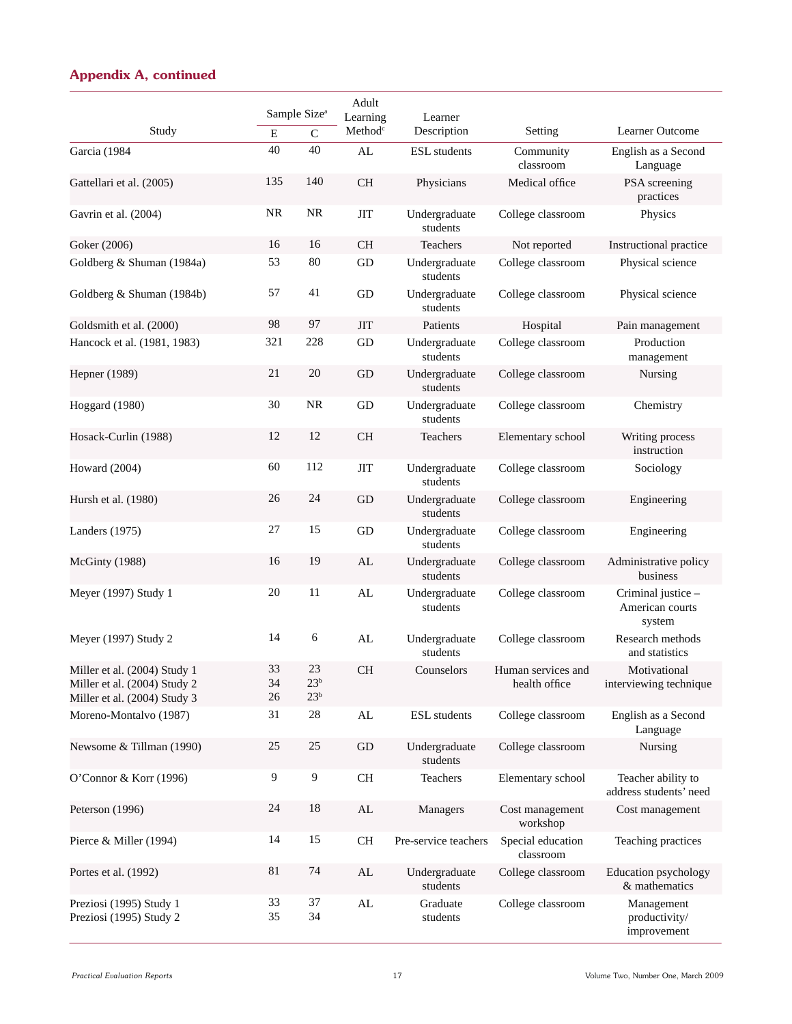| Study                                                                                        | $\mathbf E$    | Sample Size <sup>a</sup><br>$\mathcal{C}$ | Adult<br>Learning<br>Method <sup>c</sup> | Learner<br>Description    | Setting                             | Learner Outcome                                 |
|----------------------------------------------------------------------------------------------|----------------|-------------------------------------------|------------------------------------------|---------------------------|-------------------------------------|-------------------------------------------------|
| Garcia (1984                                                                                 | 40             | 40                                        | AL                                       | <b>ESL</b> students       | Community<br>classroom              | English as a Second                             |
| Gattellari et al. (2005)                                                                     | 135            | 140                                       | <b>CH</b>                                | Physicians                | Medical office                      | Language<br>PSA screening<br>practices          |
| Gavrin et al. (2004)                                                                         | <b>NR</b>      | <b>NR</b>                                 | <b>JIT</b>                               | Undergraduate<br>students | College classroom                   | Physics                                         |
| Goker (2006)                                                                                 | 16             | 16                                        | CH                                       | Teachers                  | Not reported                        | Instructional practice                          |
| Goldberg & Shuman (1984a)                                                                    | 53             | 80                                        | GD                                       | Undergraduate<br>students | College classroom                   | Physical science                                |
| Goldberg & Shuman (1984b)                                                                    | 57             | 41                                        | GD                                       | Undergraduate<br>students | College classroom                   | Physical science                                |
| Goldsmith et al. (2000)                                                                      | 98             | 97                                        | <b>JIT</b>                               | Patients                  | Hospital                            | Pain management                                 |
| Hancock et al. (1981, 1983)                                                                  | 321            | 228                                       | GD                                       | Undergraduate<br>students | College classroom                   | Production<br>management                        |
| Hepner (1989)                                                                                | 21             | 20                                        | GD                                       | Undergraduate<br>students | College classroom                   | Nursing                                         |
| Hoggard (1980)                                                                               | 30             | <b>NR</b>                                 | GD                                       | Undergraduate<br>students | College classroom                   | Chemistry                                       |
| Hosack-Curlin (1988)                                                                         | 12             | 12                                        | <b>CH</b>                                | <b>Teachers</b>           | Elementary school                   | Writing process<br>instruction                  |
| Howard (2004)                                                                                | 60             | 112                                       | <b>JIT</b>                               | Undergraduate<br>students | College classroom                   | Sociology                                       |
| Hursh et al. (1980)                                                                          | 26             | 24                                        | GD                                       | Undergraduate<br>students | College classroom                   | Engineering                                     |
| Landers (1975)                                                                               | 27             | 15                                        | GD                                       | Undergraduate<br>students | College classroom                   | Engineering                                     |
| McGinty (1988)                                                                               | 16             | 19                                        | AL                                       | Undergraduate<br>students | College classroom                   | Administrative policy<br>business               |
| Meyer (1997) Study 1                                                                         | 20             | 11                                        | AL                                       | Undergraduate<br>students | College classroom                   | Criminal justice -<br>American courts<br>system |
| Meyer (1997) Study 2                                                                         | 14             | 6                                         | AL                                       | Undergraduate<br>students | College classroom                   | Research methods<br>and statistics              |
| Miller et al. (2004) Study 1<br>Miller et al. (2004) Study 2<br>Miller et al. (2004) Study 3 | 33<br>34<br>26 | 23<br>$23^{\rm b}$<br>$23^{\rm b}$        | <b>CH</b>                                | Counselors                | Human services and<br>health office | Motivational<br>interviewing technique          |
| Moreno-Montalvo (1987)                                                                       | 31             | $28\,$                                    | AL                                       | <b>ESL</b> students       | College classroom                   | English as a Second<br>Language                 |
| Newsome & Tillman (1990)                                                                     | 25             | 25                                        | $\operatorname{GD}$                      | Undergraduate<br>students | College classroom                   | Nursing                                         |
| O'Connor & Korr (1996)                                                                       | 9              | 9                                         | <b>CH</b>                                | Teachers                  | Elementary school                   | Teacher ability to<br>address students' need    |
| Peterson (1996)                                                                              | 24             | 18                                        | AL                                       | Managers                  | Cost management<br>workshop         | Cost management                                 |
| Pierce & Miller (1994)                                                                       | 14             | 15                                        | <b>CH</b>                                | Pre-service teachers      | Special education<br>classroom      | Teaching practices                              |
| Portes et al. (1992)                                                                         | 81             | 74                                        | AL                                       | Undergraduate<br>students | College classroom                   | Education psychology<br>& mathematics           |
| Preziosi (1995) Study 1<br>Preziosi (1995) Study 2                                           | 33<br>35       | 37<br>34                                  | AL                                       | Graduate<br>students      | College classroom                   | Management<br>productivity/<br>improvement      |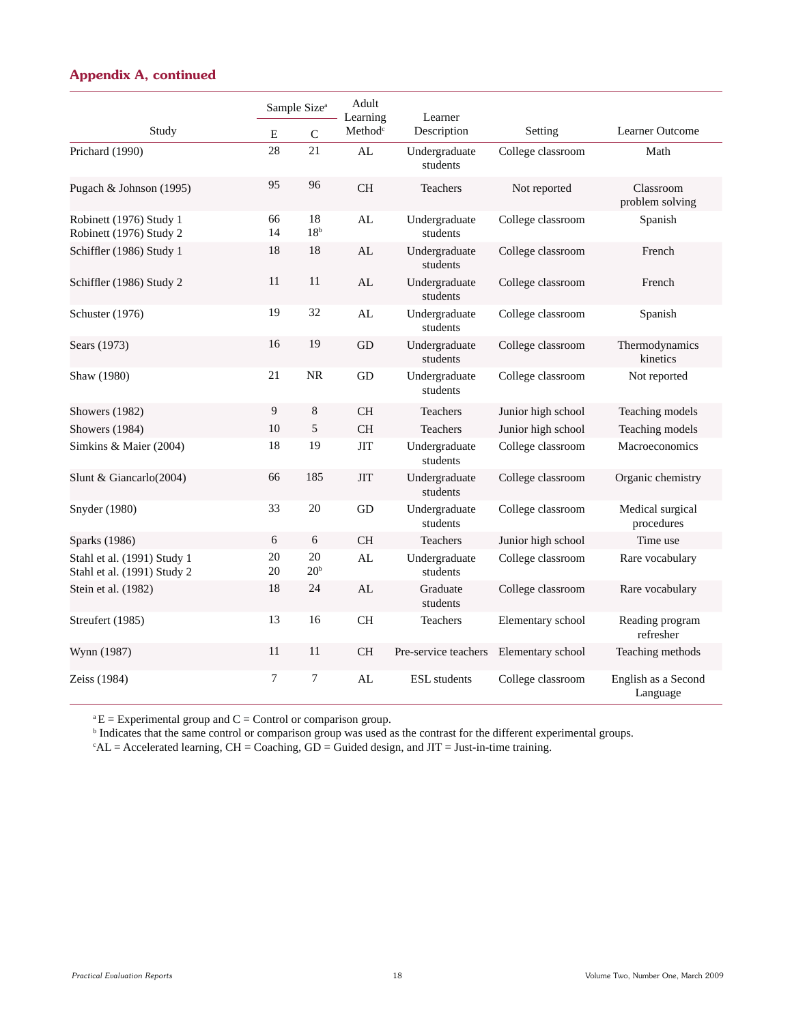|                                                            | Sample Size <sup>a</sup> |                       | Adult<br>Learning   | Learner                   |                    |                                 |
|------------------------------------------------------------|--------------------------|-----------------------|---------------------|---------------------------|--------------------|---------------------------------|
| Study                                                      | ${\bf E}$                | $\mathbf C$           | Method <sup>c</sup> | Description               | Setting            | Learner Outcome                 |
| Prichard (1990)                                            | 28                       | 21                    | AL                  | Undergraduate<br>students | College classroom  | Math                            |
| Pugach & Johnson (1995)                                    | 95                       | 96                    | <b>CH</b>           | Teachers                  | Not reported       | Classroom<br>problem solving    |
| Robinett (1976) Study 1<br>Robinett (1976) Study 2         | 66<br>14                 | 18<br>18 <sup>b</sup> | AL                  | Undergraduate<br>students | College classroom  | Spanish                         |
| Schiffler (1986) Study 1                                   | 18                       | 18                    | AL                  | Undergraduate<br>students | College classroom  | French                          |
| Schiffler (1986) Study 2                                   | 11                       | 11                    | AL                  | Undergraduate<br>students | College classroom  | French                          |
| Schuster (1976)                                            | 19                       | 32                    | AL                  | Undergraduate<br>students | College classroom  | Spanish                         |
| Sears (1973)                                               | 16                       | 19                    | GD                  | Undergraduate<br>students | College classroom  | Thermodynamics<br>kinetics      |
| Shaw (1980)                                                | 21                       | <b>NR</b>             | GD                  | Undergraduate<br>students | College classroom  | Not reported                    |
| <b>Showers</b> (1982)                                      | 9                        | 8                     | <b>CH</b>           | Teachers                  | Junior high school | Teaching models                 |
| Showers (1984)                                             | 10                       | 5                     | <b>CH</b>           | Teachers                  | Junior high school | Teaching models                 |
| Simkins & Maier (2004)                                     | 18                       | 19                    | <b>JIT</b>          | Undergraduate<br>students | College classroom  | Macroeconomics                  |
| Slunt & Giancarlo(2004)                                    | 66                       | 185                   | <b>JIT</b>          | Undergraduate<br>students | College classroom  | Organic chemistry               |
| Snyder (1980)                                              | 33                       | 20                    | GD                  | Undergraduate<br>students | College classroom  | Medical surgical<br>procedures  |
| Sparks (1986)                                              | 6                        | 6                     | <b>CH</b>           | Teachers                  | Junior high school | Time use                        |
| Stahl et al. (1991) Study 1<br>Stahl et al. (1991) Study 2 | 20<br>20                 | 20<br>20 <sup>b</sup> | AL                  | Undergraduate<br>students | College classroom  | Rare vocabulary                 |
| Stein et al. (1982)                                        | 18                       | 24                    | AL                  | Graduate<br>students      | College classroom  | Rare vocabulary                 |
| Streufert (1985)                                           | 13                       | 16                    | <b>CH</b>           | <b>Teachers</b>           | Elementary school  | Reading program<br>refresher    |
| Wynn (1987)                                                | 11                       | 11                    | <b>CH</b>           | Pre-service teachers      | Elementary school  | Teaching methods                |
| Zeiss (1984)                                               | $\overline{7}$           | 7                     | AL                  | <b>ESL</b> students       | College classroom  | English as a Second<br>Language |

 $^{\circ}E =$  Experimental group and C = Control or comparison group.

<sup>b</sup> Indicates that the same control or comparison group was used as the contrast for the different experimental groups.

 $c^2AL$  = Accelerated learning, CH = Coaching, GD = Guided design, and JIT = Just-in-time training.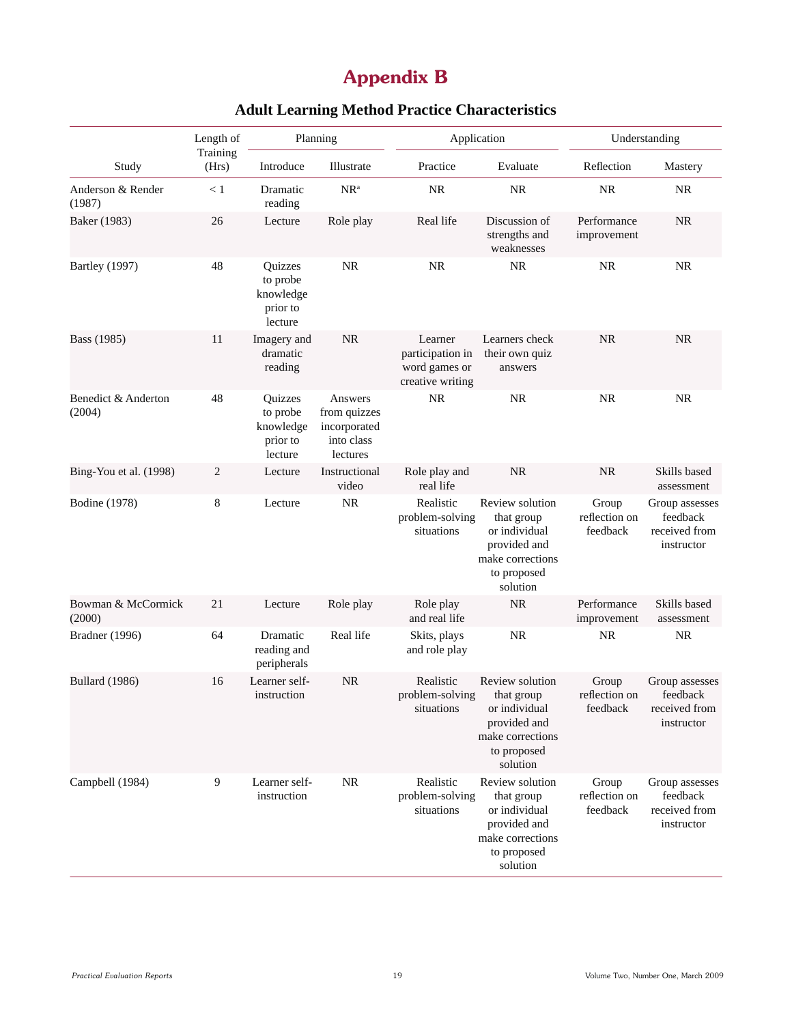## **Appendix B**

|                               | Length of         |                                                         | Planning<br>Application                                           |                                                                  |                                                                                                               |                                    | Understanding                                             |  |
|-------------------------------|-------------------|---------------------------------------------------------|-------------------------------------------------------------------|------------------------------------------------------------------|---------------------------------------------------------------------------------------------------------------|------------------------------------|-----------------------------------------------------------|--|
| Study                         | Training<br>(Hrs) | Introduce                                               | Illustrate                                                        | Practice                                                         | Evaluate                                                                                                      | Reflection                         | Mastery                                                   |  |
| Anderson & Render<br>(1987)   | < 1               | Dramatic<br>reading                                     | $NR^a$                                                            | NR                                                               | <b>NR</b>                                                                                                     | <b>NR</b>                          | NR                                                        |  |
| Baker (1983)                  | 26                | Lecture                                                 | Role play                                                         | Real life                                                        | Discussion of<br>strengths and<br>weaknesses                                                                  | Performance<br>improvement         | <b>NR</b>                                                 |  |
| <b>Bartley</b> (1997)         | 48                | Quizzes<br>to probe<br>knowledge<br>prior to<br>lecture | <b>NR</b>                                                         | <b>NR</b>                                                        | <b>NR</b>                                                                                                     | <b>NR</b>                          | <b>NR</b>                                                 |  |
| Bass (1985)                   | 11                | Imagery and<br>dramatic<br>reading                      | <b>NR</b>                                                         | Learner<br>participation in<br>word games or<br>creative writing | Learners check<br>their own quiz<br>answers                                                                   | <b>NR</b>                          | <b>NR</b>                                                 |  |
| Benedict & Anderton<br>(2004) | 48                | Quizzes<br>to probe<br>knowledge<br>prior to<br>lecture | Answers<br>from quizzes<br>incorporated<br>into class<br>lectures | NR                                                               | <b>NR</b>                                                                                                     | NR                                 | <b>NR</b>                                                 |  |
| Bing-You et al. (1998)        | $\overline{c}$    | Lecture                                                 | Instructional<br>video                                            | Role play and<br>real life                                       | <b>NR</b>                                                                                                     | <b>NR</b>                          | Skills based<br>assessment                                |  |
| <b>Bodine</b> (1978)          | 8                 | Lecture                                                 | NR                                                                | Realistic<br>problem-solving<br>situations                       | Review solution<br>that group<br>or individual<br>provided and<br>make corrections<br>to proposed<br>solution | Group<br>reflection on<br>feedback | Group assesses<br>feedback<br>received from<br>instructor |  |
| Bowman & McCormick<br>(2000)  | 21                | Lecture                                                 | Role play                                                         | Role play<br>and real life                                       | <b>NR</b>                                                                                                     | Performance<br>improvement         | Skills based<br>assessment                                |  |
| Bradner (1996)                | 64                | Dramatic<br>reading and<br>peripherals                  | Real life                                                         | Skits, plays<br>and role play                                    | <b>NR</b>                                                                                                     | <b>NR</b>                          | <b>NR</b>                                                 |  |
| <b>Bullard</b> (1986)         | 16                | Learner self-<br>instruction                            | <b>NR</b>                                                         | Realistic<br>problem-solving<br>situations                       | Review solution<br>that group<br>or individual<br>provided and<br>make corrections<br>to proposed<br>solution | Group<br>reflection on<br>feedback | Group assesses<br>feedback<br>received from<br>instructor |  |
| Campbell (1984)               | 9                 | Learner self-<br>instruction                            | <b>NR</b>                                                         | Realistic<br>problem-solving<br>situations                       | Review solution<br>that group<br>or individual<br>provided and<br>make corrections<br>to proposed<br>solution | Group<br>reflection on<br>feedback | Group assesses<br>feedback<br>received from<br>instructor |  |

## **Adult Learning Method Practice Characteristics**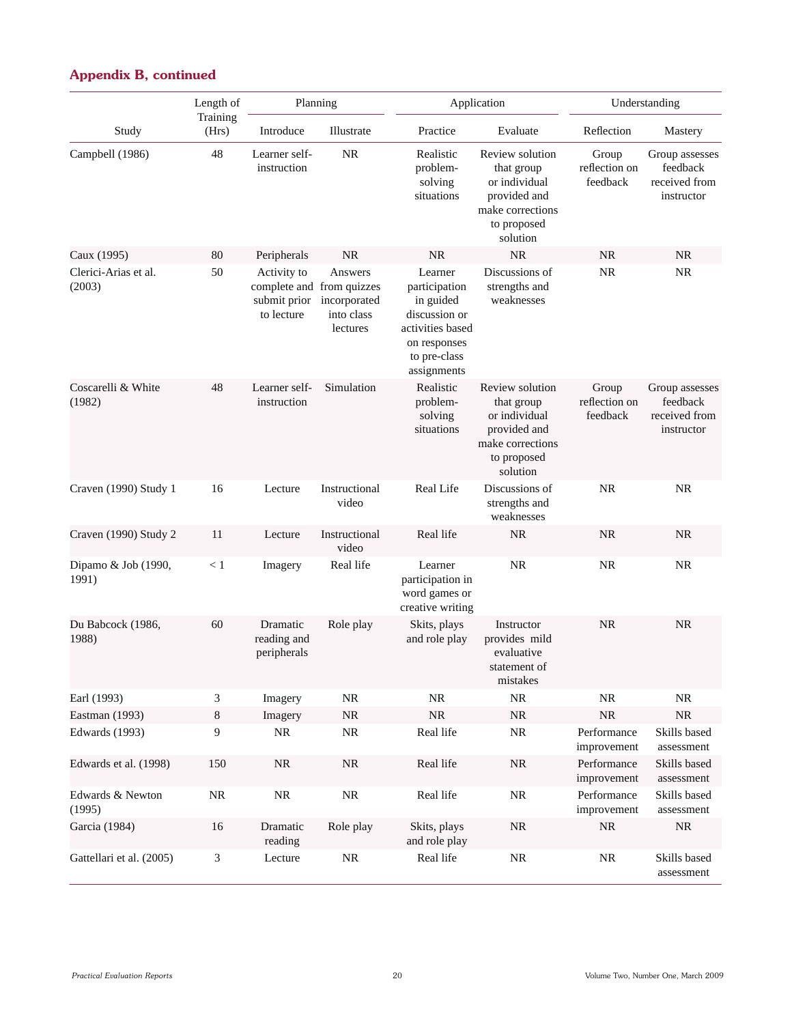|                                | Length of         |                                           | Planning                                                                       |                                                                                                                           | Application                                                                                                   |                                    | Understanding                                             |
|--------------------------------|-------------------|-------------------------------------------|--------------------------------------------------------------------------------|---------------------------------------------------------------------------------------------------------------------------|---------------------------------------------------------------------------------------------------------------|------------------------------------|-----------------------------------------------------------|
| Study                          | Training<br>(Hrs) | Introduce                                 | Illustrate                                                                     | Practice                                                                                                                  | Evaluate                                                                                                      | Reflection                         | Mastery                                                   |
| Campbell (1986)                | 48                | Learner self-<br>instruction              | <b>NR</b>                                                                      | Realistic<br>problem-<br>solving<br>situations                                                                            | Review solution<br>that group<br>or individual<br>provided and<br>make corrections<br>to proposed<br>solution | Group<br>reflection on<br>feedback | Group assesses<br>feedback<br>received from<br>instructor |
| Caux (1995)                    | 80                | Peripherals                               | <b>NR</b>                                                                      | <b>NR</b>                                                                                                                 | <b>NR</b>                                                                                                     | <b>NR</b>                          | <b>NR</b>                                                 |
| Clerici-Arias et al.<br>(2003) | 50                | Activity to<br>submit prior<br>to lecture | Answers<br>complete and from quizzes<br>incorporated<br>into class<br>lectures | Learner<br>participation<br>in guided<br>discussion or<br>activities based<br>on responses<br>to pre-class<br>assignments | Discussions of<br>strengths and<br>weaknesses                                                                 | NR                                 | <b>NR</b>                                                 |
| Coscarelli & White<br>(1982)   | 48                | Learner self-<br>instruction              | Simulation                                                                     | Realistic<br>problem-<br>solving<br>situations                                                                            | Review solution<br>that group<br>or individual<br>provided and<br>make corrections<br>to proposed<br>solution | Group<br>reflection on<br>feedback | Group assesses<br>feedback<br>received from<br>instructor |
| Craven (1990) Study 1          | 16                | Lecture                                   | Instructional<br>video                                                         | Real Life                                                                                                                 | Discussions of<br>strengths and<br>weaknesses                                                                 | <b>NR</b>                          | <b>NR</b>                                                 |
| Craven (1990) Study 2          | 11                | Lecture                                   | Instructional<br>video                                                         | Real life                                                                                                                 | <b>NR</b>                                                                                                     | <b>NR</b>                          | <b>NR</b>                                                 |
| Dipamo & Job (1990,<br>1991)   | < 1               | Imagery                                   | Real life                                                                      | Learner<br>participation in<br>word games or<br>creative writing                                                          | <b>NR</b>                                                                                                     | <b>NR</b>                          | <b>NR</b>                                                 |
| Du Babcock (1986,<br>1988)     | 60                | Dramatic<br>reading and<br>peripherals    | Role play                                                                      | Skits, plays<br>and role play                                                                                             | Instructor<br>provides mild<br>evaluative<br>statement of<br>mistakes                                         | <b>NR</b>                          | <b>NR</b>                                                 |
| Earl (1993)                    | 3                 | Imagery                                   | $\rm NR$                                                                       | $\rm NR$                                                                                                                  | $\rm NR$                                                                                                      | $\rm NR$                           | <b>NR</b>                                                 |
| Eastman (1993)                 | 8                 | Imagery                                   | $\rm NR$                                                                       | $\rm NR$                                                                                                                  | $\rm NR$                                                                                                      | $\rm NR$                           | NR                                                        |
| Edwards (1993)                 | 9                 | $\rm NR$                                  | $\rm NR$                                                                       | Real life                                                                                                                 | $\rm NR$                                                                                                      | Performance<br>improvement         | Skills based<br>assessment                                |
| Edwards et al. (1998)          | 150               | $\rm NR$                                  | $\rm NR$                                                                       | Real life                                                                                                                 | $\rm NR$                                                                                                      | Performance<br>improvement         | Skills based<br>assessment                                |
| Edwards & Newton<br>(1995)     | $\rm NR$          | $\rm NR$                                  | $\rm NR$                                                                       | Real life                                                                                                                 | $\rm NR$                                                                                                      | Performance<br>improvement         | Skills based<br>assessment                                |
| Garcia (1984)                  | 16                | Dramatic<br>reading                       | Role play                                                                      | Skits, plays<br>and role play                                                                                             | $\rm NR$                                                                                                      | $\rm NR$                           | NR                                                        |
| Gattellari et al. (2005)       | 3                 | Lecture                                   | $\rm NR$                                                                       | Real life                                                                                                                 | NR                                                                                                            | <b>NR</b>                          | Skills based<br>assessment                                |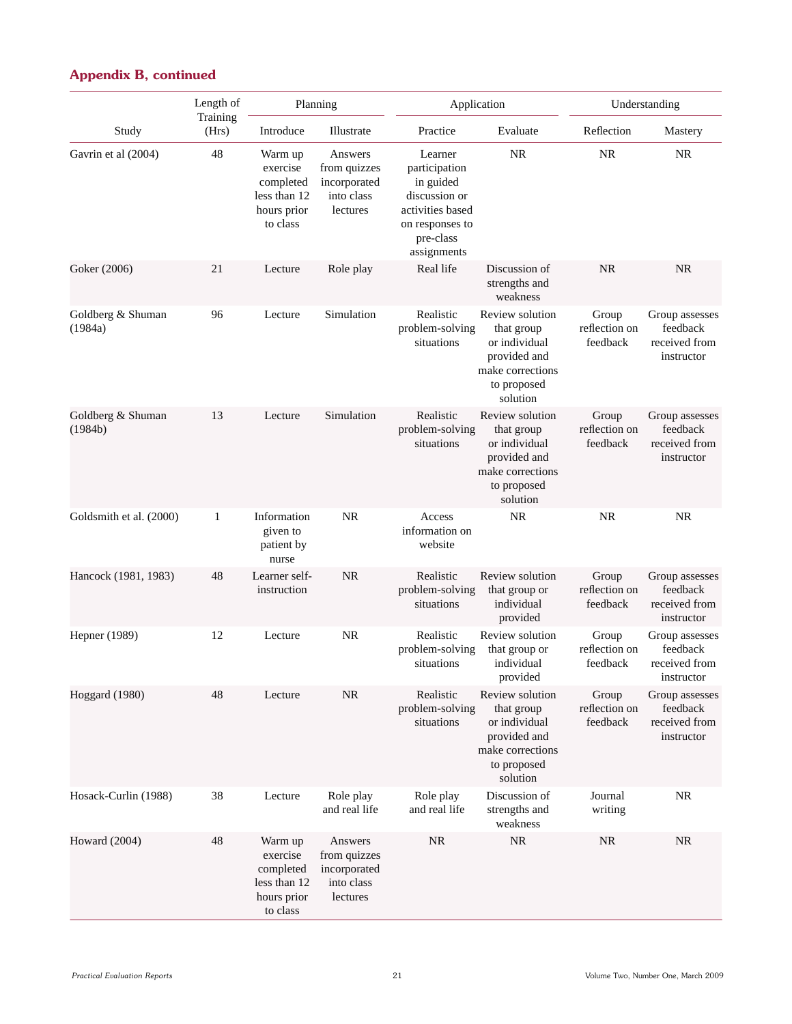|                              | Length of<br>Planning |                                                                             |                                                                   | Application                                                                                                               | Understanding                                                                                                 |                                    |                                                           |
|------------------------------|-----------------------|-----------------------------------------------------------------------------|-------------------------------------------------------------------|---------------------------------------------------------------------------------------------------------------------------|---------------------------------------------------------------------------------------------------------------|------------------------------------|-----------------------------------------------------------|
| Study                        | Training<br>(Hrs)     | Introduce                                                                   | Illustrate                                                        | Practice                                                                                                                  | Evaluate                                                                                                      | Reflection                         | Mastery                                                   |
| Gavrin et al (2004)          | 48                    | Warm up<br>exercise<br>completed<br>less than 12<br>hours prior<br>to class | Answers<br>from quizzes<br>incorporated<br>into class<br>lectures | Learner<br>participation<br>in guided<br>discussion or<br>activities based<br>on responses to<br>pre-class<br>assignments | <b>NR</b>                                                                                                     | <b>NR</b>                          | <b>NR</b>                                                 |
| Goker (2006)                 | 21                    | Lecture                                                                     | Role play                                                         | Real life                                                                                                                 | Discussion of<br>strengths and<br>weakness                                                                    | <b>NR</b>                          | <b>NR</b>                                                 |
| Goldberg & Shuman<br>(1984a) | 96                    | Lecture                                                                     | Simulation                                                        | Realistic<br>problem-solving<br>situations                                                                                | Review solution<br>that group<br>or individual<br>provided and<br>make corrections<br>to proposed<br>solution | Group<br>reflection on<br>feedback | Group assesses<br>feedback<br>received from<br>instructor |
| Goldberg & Shuman<br>(1984b) | 13                    | Lecture                                                                     | Simulation                                                        | Realistic<br>problem-solving<br>situations                                                                                | Review solution<br>that group<br>or individual<br>provided and<br>make corrections<br>to proposed<br>solution | Group<br>reflection on<br>feedback | Group assesses<br>feedback<br>received from<br>instructor |
| Goldsmith et al. (2000)      | $\mathbf{1}$          | Information<br>given to<br>patient by<br>nurse                              | <b>NR</b>                                                         | Access<br>information on<br>website                                                                                       | NR                                                                                                            | <b>NR</b>                          | <b>NR</b>                                                 |
| Hancock (1981, 1983)         | 48                    | Learner self-<br>instruction                                                | <b>NR</b>                                                         | Realistic<br>problem-solving<br>situations                                                                                | Review solution<br>that group or<br>individual<br>provided                                                    | Group<br>reflection on<br>feedback | Group assesses<br>feedback<br>received from<br>instructor |
| Hepner (1989)                | 12                    | Lecture                                                                     | <b>NR</b>                                                         | Realistic<br>problem-solving<br>situations                                                                                | Review solution<br>that group or<br>individual<br>provided                                                    | Group<br>reflection on<br>feedback | Group assesses<br>feedback<br>received from<br>instructor |
| Hoggard (1980)               | 48                    | Lecture                                                                     | <b>NR</b>                                                         | Realistic<br>problem-solving<br>situations                                                                                | Review solution<br>that group<br>or individual<br>provided and<br>make corrections<br>to proposed<br>solution | Group<br>reflection on<br>feedback | Group assesses<br>feedback<br>received from<br>instructor |
| Hosack-Curlin (1988)         | 38                    | Lecture                                                                     | Role play<br>and real life                                        | Role play<br>and real life                                                                                                | Discussion of<br>strengths and<br>weakness                                                                    | Journal<br>writing                 | <b>NR</b>                                                 |
| Howard (2004)                | 48                    | Warm up<br>exercise<br>completed<br>less than 12<br>hours prior<br>to class | Answers<br>from quizzes<br>incorporated<br>into class<br>lectures | <b>NR</b>                                                                                                                 | $\rm NR$                                                                                                      | $\rm NR$                           | <b>NR</b>                                                 |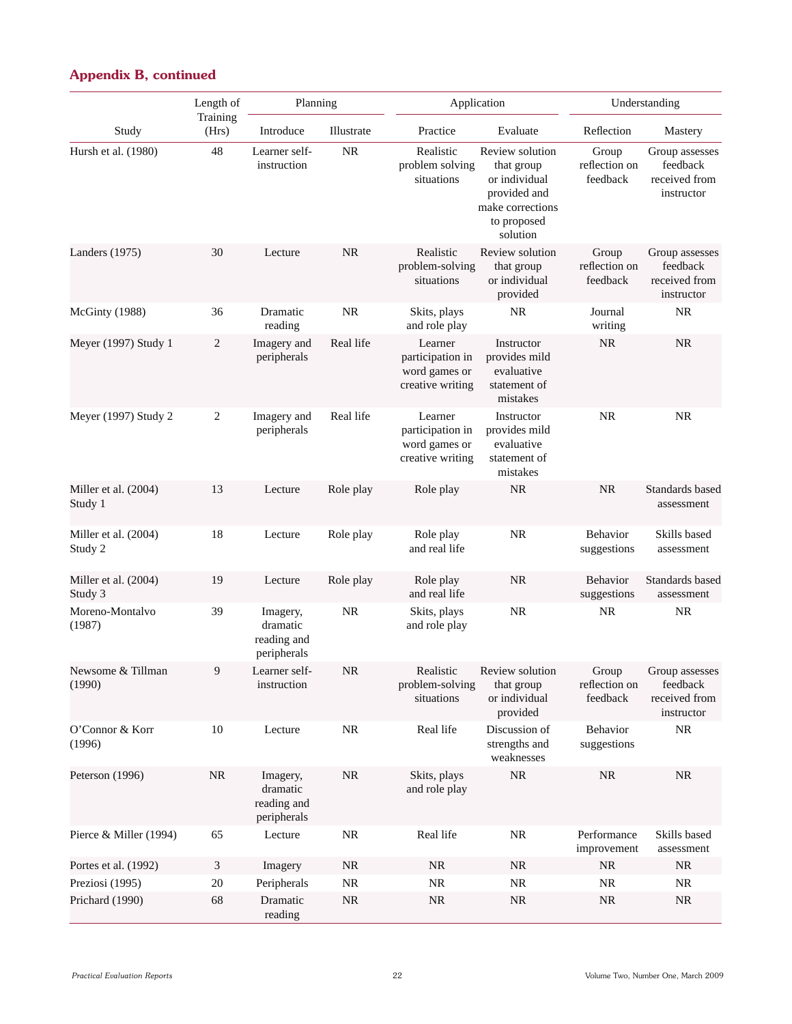| <b>Appendix B, continued</b> |  |
|------------------------------|--|
|------------------------------|--|

|                                 | Length of         | Planning                                           |            |                                                                  | Application                                                                                                   |                                    | Understanding                                             |  |  |
|---------------------------------|-------------------|----------------------------------------------------|------------|------------------------------------------------------------------|---------------------------------------------------------------------------------------------------------------|------------------------------------|-----------------------------------------------------------|--|--|
| Study                           | Training<br>(Hrs) | Introduce                                          | Illustrate | Practice                                                         | Evaluate                                                                                                      | Reflection                         | Mastery                                                   |  |  |
| Hursh et al. (1980)             | 48                | Learner self-<br>instruction                       | <b>NR</b>  | Realistic<br>problem solving<br>situations                       | Review solution<br>that group<br>or individual<br>provided and<br>make corrections<br>to proposed<br>solution | Group<br>reflection on<br>feedback | Group assesses<br>feedback<br>received from<br>instructor |  |  |
| Landers (1975)                  | 30                | Lecture                                            | <b>NR</b>  | Realistic<br>problem-solving<br>situations                       | Review solution<br>that group<br>or individual<br>provided                                                    | Group<br>reflection on<br>feedback | Group assesses<br>feedback<br>received from<br>instructor |  |  |
| McGinty (1988)                  | 36                | Dramatic<br>reading                                | <b>NR</b>  | Skits, plays<br>and role play                                    | <b>NR</b>                                                                                                     | Journal<br>writing                 | <b>NR</b>                                                 |  |  |
| Meyer (1997) Study 1            | $\sqrt{2}$        | Imagery and<br>peripherals                         | Real life  | Learner<br>participation in<br>word games or<br>creative writing | Instructor<br>provides mild<br>evaluative<br>statement of<br>mistakes                                         | <b>NR</b>                          | <b>NR</b>                                                 |  |  |
| Meyer (1997) Study 2            | $\sqrt{2}$        | Imagery and<br>peripherals                         | Real life  | Learner<br>participation in<br>word games or<br>creative writing | Instructor<br>provides mild<br>evaluative<br>statement of<br>mistakes                                         | <b>NR</b>                          | <b>NR</b>                                                 |  |  |
| Miller et al. (2004)<br>Study 1 | 13                | Lecture                                            | Role play  | Role play                                                        | <b>NR</b>                                                                                                     | <b>NR</b>                          | Standards based<br>assessment                             |  |  |
| Miller et al. (2004)<br>Study 2 | 18                | Lecture                                            | Role play  | Role play<br>and real life                                       | <b>NR</b>                                                                                                     | <b>Behavior</b><br>suggestions     | Skills based<br>assessment                                |  |  |
| Miller et al. (2004)<br>Study 3 | 19                | Lecture                                            | Role play  | Role play<br>and real life                                       | <b>NR</b>                                                                                                     | Behavior<br>suggestions            | Standards based<br>assessment                             |  |  |
| Moreno-Montalvo<br>(1987)       | 39                | Imagery,<br>dramatic<br>reading and<br>peripherals | <b>NR</b>  | Skits, plays<br>and role play                                    | NR                                                                                                            | <b>NR</b>                          | <b>NR</b>                                                 |  |  |
| Newsome & Tillman<br>(1990)     | 9                 | Learner self-<br>instruction                       | $\rm NR$   | Realistic<br>problem-solving<br>situations                       | Review solution<br>that group<br>or individual<br>provided                                                    | Group<br>reflection on<br>feedback | Group assesses<br>feedback<br>received from<br>instructor |  |  |
| O'Connor & Korr<br>(1996)       | 10                | Lecture                                            | <b>NR</b>  | Real life                                                        | Discussion of<br>strengths and<br>weaknesses                                                                  | Behavior<br>suggestions            | $\rm NR$                                                  |  |  |
| Peterson (1996)                 | <b>NR</b>         | Imagery,<br>dramatic<br>reading and<br>peripherals | <b>NR</b>  | Skits, plays<br>and role play                                    | <b>NR</b>                                                                                                     | <b>NR</b>                          | <b>NR</b>                                                 |  |  |
| Pierce & Miller (1994)          | 65                | Lecture                                            | $\rm NR$   | Real life                                                        | <b>NR</b>                                                                                                     | Performance<br>improvement         | Skills based<br>assessment                                |  |  |
| Portes et al. (1992)            | $\mathfrak{Z}$    | Imagery                                            | $\rm NR$   | <b>NR</b>                                                        | <b>NR</b>                                                                                                     | <b>NR</b>                          | <b>NR</b>                                                 |  |  |
| Preziosi (1995)                 | 20                | Peripherals                                        | $\rm NR$   | $\rm NR$                                                         | $\rm NR$                                                                                                      | <b>NR</b>                          | <b>NR</b>                                                 |  |  |
| Prichard (1990)                 | 68                | Dramatic<br>reading                                | $\rm NR$   | <b>NR</b>                                                        | $\rm NR$                                                                                                      | <b>NR</b>                          | $\rm NR$                                                  |  |  |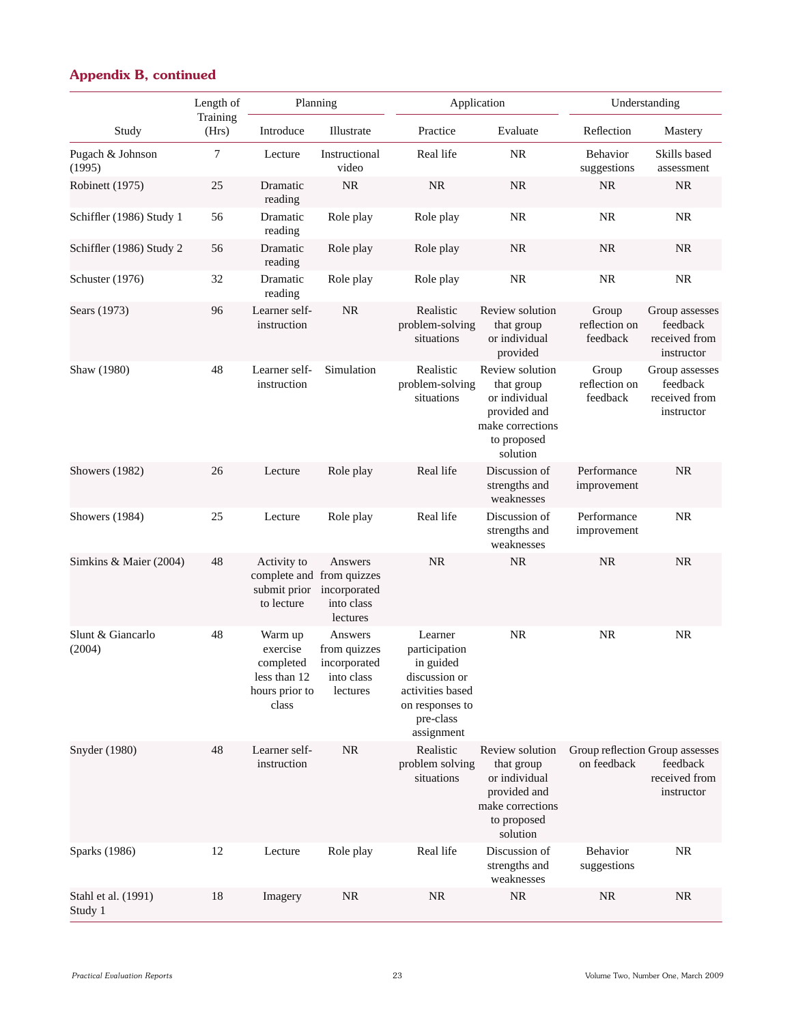|                                | Length of         | Planning                                                                    |                                                                   |                                                                                                                          | Application                                                                                                   |                                    | Understanding                                                              |
|--------------------------------|-------------------|-----------------------------------------------------------------------------|-------------------------------------------------------------------|--------------------------------------------------------------------------------------------------------------------------|---------------------------------------------------------------------------------------------------------------|------------------------------------|----------------------------------------------------------------------------|
| Study                          | Training<br>(Hrs) | Introduce                                                                   | Illustrate                                                        | Practice                                                                                                                 | Evaluate                                                                                                      | Reflection                         | Mastery                                                                    |
| Pugach & Johnson<br>(1995)     | 7                 | Lecture                                                                     | Instructional<br>video                                            | Real life                                                                                                                | <b>NR</b>                                                                                                     | Behavior<br>suggestions            | Skills based<br>assessment                                                 |
| Robinett (1975)                | 25                | Dramatic<br>reading                                                         | NR                                                                | <b>NR</b>                                                                                                                | <b>NR</b>                                                                                                     | NR                                 | <b>NR</b>                                                                  |
| Schiffler (1986) Study 1       | 56                | Dramatic<br>reading                                                         | Role play                                                         | Role play                                                                                                                | <b>NR</b>                                                                                                     | <b>NR</b>                          | <b>NR</b>                                                                  |
| Schiffler (1986) Study 2       | 56                | Dramatic<br>reading                                                         | Role play                                                         | Role play                                                                                                                | <b>NR</b>                                                                                                     | <b>NR</b>                          | <b>NR</b>                                                                  |
| Schuster (1976)                | 32                | Dramatic<br>reading                                                         | Role play                                                         | Role play                                                                                                                | <b>NR</b>                                                                                                     | <b>NR</b>                          | <b>NR</b>                                                                  |
| Sears (1973)                   | 96                | Learner self-<br>instruction                                                | $\rm NR$                                                          | Realistic<br>problem-solving<br>situations                                                                               | Review solution<br>that group<br>or individual<br>provided                                                    | Group<br>reflection on<br>feedback | Group assesses<br>feedback<br>received from<br>instructor                  |
| Shaw (1980)                    | 48                | Learner self-<br>instruction                                                | Simulation                                                        | Realistic<br>problem-solving<br>situations                                                                               | Review solution<br>that group<br>or individual<br>provided and<br>make corrections<br>to proposed<br>solution | Group<br>reflection on<br>feedback | Group assesses<br>feedback<br>received from<br>instructor                  |
| <b>Showers</b> (1982)          | 26                | Lecture                                                                     | Role play                                                         | Real life                                                                                                                | Discussion of<br>strengths and<br>weaknesses                                                                  | Performance<br>improvement         | <b>NR</b>                                                                  |
| Showers (1984)                 | 25                | Lecture                                                                     | Role play                                                         | Real life                                                                                                                | Discussion of<br>strengths and<br>weaknesses                                                                  | Performance<br>improvement         | <b>NR</b>                                                                  |
| Simkins & Maier (2004)         | 48                | Activity to<br>complete and from quizzes<br>submit prior<br>to lecture      | Answers<br>incorporated<br>into class<br>lectures                 | <b>NR</b>                                                                                                                | <b>NR</b>                                                                                                     | <b>NR</b>                          | NR.                                                                        |
| Slunt & Giancarlo<br>(2004)    | 48                | Warm up<br>exercise<br>completed<br>less than 12<br>hours prior to<br>class | Answers<br>from quizzes<br>incorporated<br>into class<br>lectures | Learner<br>participation<br>in guided<br>discussion or<br>activities based<br>on responses to<br>pre-class<br>assignment | <b>NR</b>                                                                                                     | <b>NR</b>                          | <b>NR</b>                                                                  |
| Snyder (1980)                  | 48                | Learner self-<br>instruction                                                | <b>NR</b>                                                         | Realistic<br>problem solving<br>situations                                                                               | Review solution<br>that group<br>or individual<br>provided and<br>make corrections<br>to proposed<br>solution | on feedback                        | Group reflection Group assesses<br>feedback<br>received from<br>instructor |
| Sparks (1986)                  | 12                | Lecture                                                                     | Role play                                                         | Real life                                                                                                                | Discussion of<br>strengths and<br>weaknesses                                                                  | Behavior<br>suggestions            | <b>NR</b>                                                                  |
| Stahl et al. (1991)<br>Study 1 | 18                | Imagery                                                                     | <b>NR</b>                                                         | <b>NR</b>                                                                                                                | <b>NR</b>                                                                                                     | <b>NR</b>                          | <b>NR</b>                                                                  |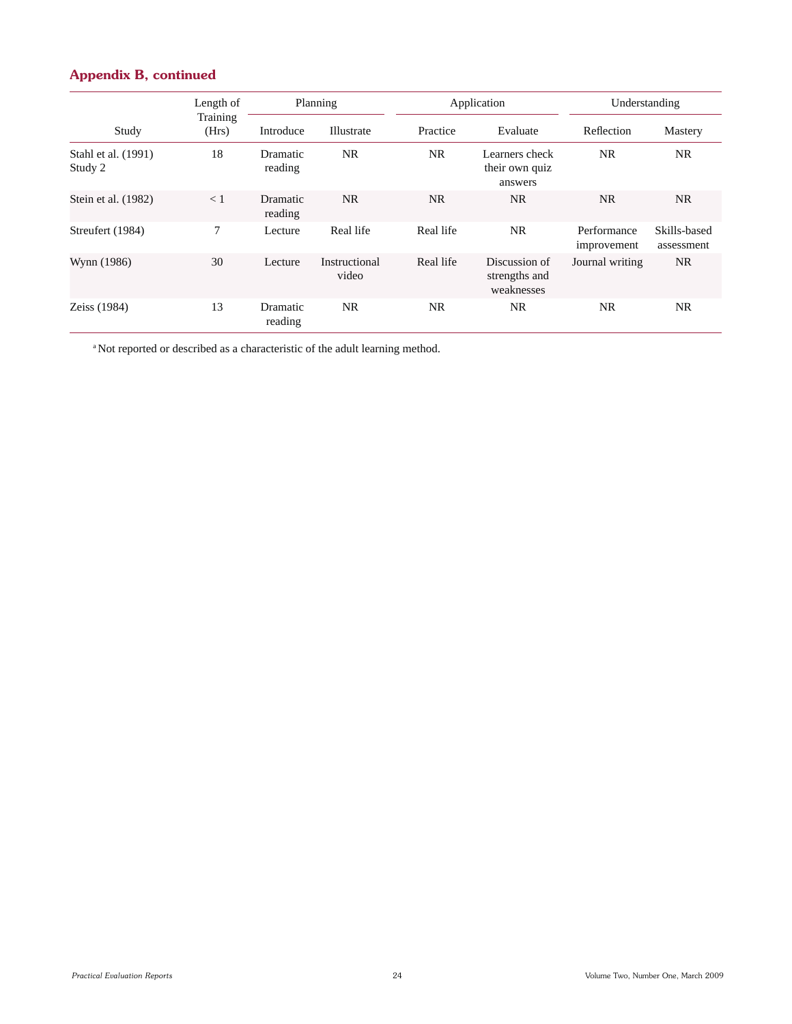| Study                          | Length of         | Planning            |                        | Application |                                              | Understanding              |                            |
|--------------------------------|-------------------|---------------------|------------------------|-------------|----------------------------------------------|----------------------------|----------------------------|
|                                | Training<br>(Hrs) | Introduce           | Illustrate             | Practice    | Evaluate                                     | Reflection                 | Mastery                    |
| Stahl et al. (1991)<br>Study 2 | 18                | Dramatic<br>reading | NR.                    | <b>NR</b>   | Learners check<br>their own quiz<br>answers  | NR.                        | NR.                        |
| Stein et al. (1982)            | < 1               | Dramatic<br>reading | NR.                    | <b>NR</b>   | <b>NR</b>                                    | NR.                        | NR.                        |
| Streufert (1984)               | 7                 | Lecture             | Real life              | Real life   | <b>NR</b>                                    | Performance<br>improvement | Skills-based<br>assessment |
| Wynn (1986)                    | 30                | Lecture             | Instructional<br>video | Real life   | Discussion of<br>strengths and<br>weaknesses | Journal writing            | NR.                        |
| Zeiss (1984)                   | 13                | Dramatic<br>reading | <b>NR</b>              | <b>NR</b>   | NR.                                          | <b>NR</b>                  | NR.                        |

<sup>a</sup> Not reported or described as a characteristic of the adult learning method.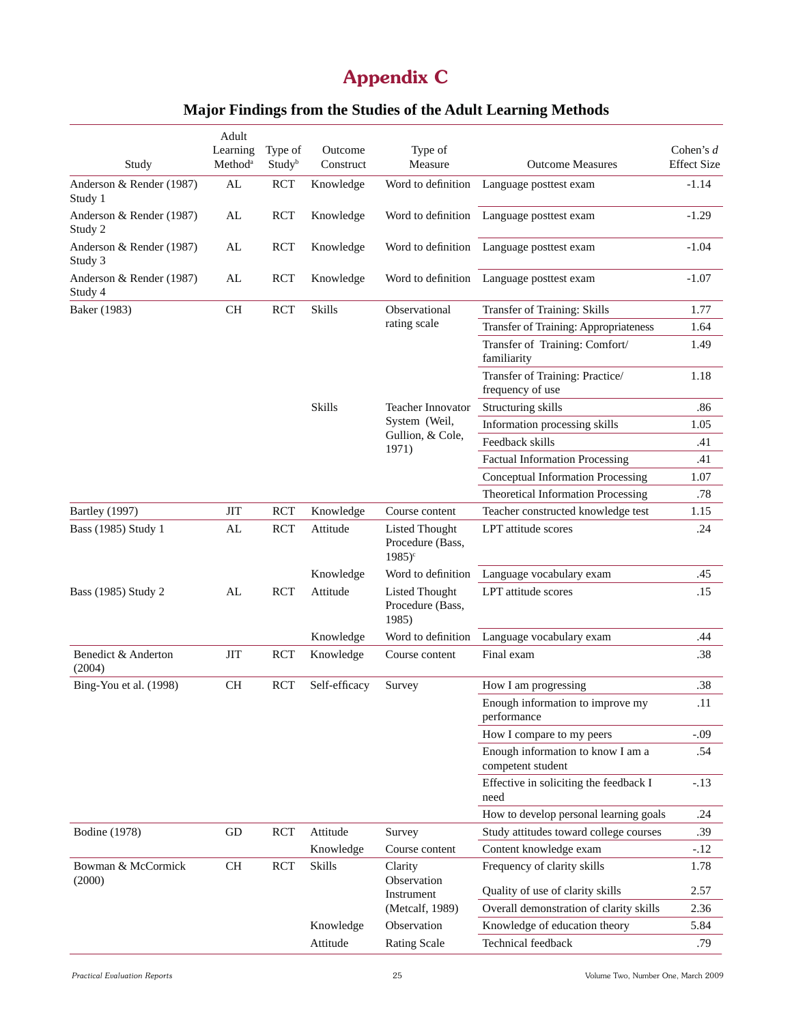## **Appendix C**

|  |  |  |  |  | Major Findings from the Studies of the Adult Learning Methods |
|--|--|--|--|--|---------------------------------------------------------------|
|--|--|--|--|--|---------------------------------------------------------------|

| Study                               | Adult<br>Learning<br>Method <sup>a</sup> | Type of<br>Study <sup>b</sup> | Outcome<br>Construct | Type of<br>Measure                                               | <b>Outcome Measures</b>                                | Cohen's $d$<br><b>Effect Size</b> |
|-------------------------------------|------------------------------------------|-------------------------------|----------------------|------------------------------------------------------------------|--------------------------------------------------------|-----------------------------------|
| Anderson & Render (1987)<br>Study 1 | AL                                       | <b>RCT</b>                    | Knowledge            | Word to definition                                               | Language posttest exam                                 | $-1.14$                           |
| Anderson & Render (1987)<br>Study 2 | AL                                       | <b>RCT</b>                    | Knowledge            |                                                                  | Word to definition Language posttest exam              | $-1.29$                           |
| Anderson & Render (1987)<br>Study 3 | AL                                       | <b>RCT</b>                    | Knowledge            |                                                                  | Word to definition Language posttest exam              | $-1.04$                           |
| Anderson & Render (1987)<br>Study 4 | AL                                       | <b>RCT</b>                    | Knowledge            |                                                                  | Word to definition Language posttest exam              | $-1.07$                           |
| Baker (1983)                        | <b>CH</b>                                | <b>RCT</b>                    | Skills               | Observational                                                    | Transfer of Training: Skills                           | 1.77                              |
|                                     |                                          |                               |                      | rating scale                                                     | Transfer of Training: Appropriateness                  | 1.64                              |
|                                     |                                          |                               |                      |                                                                  | Transfer of Training: Comfort/<br>familiarity          | 1.49                              |
|                                     |                                          |                               |                      |                                                                  | Transfer of Training: Practice/<br>frequency of use    | 1.18                              |
|                                     |                                          |                               | Skills               | Teacher Innovator                                                | Structuring skills                                     | .86                               |
|                                     |                                          |                               |                      | System (Weil,                                                    | Information processing skills                          | 1.05                              |
|                                     |                                          |                               |                      | Gullion, & Cole,<br>1971)                                        | Feedback skills                                        | .41                               |
|                                     |                                          |                               |                      |                                                                  | <b>Factual Information Processing</b>                  | .41                               |
|                                     |                                          |                               |                      |                                                                  | <b>Conceptual Information Processing</b>               | 1.07                              |
|                                     |                                          |                               |                      |                                                                  | Theoretical Information Processing                     | .78                               |
| <b>Bartley</b> (1997)               | <b>JIT</b>                               | <b>RCT</b>                    | Knowledge            | Course content                                                   | Teacher constructed knowledge test                     | 1.15                              |
| Bass (1985) Study 1                 | AL                                       | <b>RCT</b>                    | Attitude             | <b>Listed Thought</b><br>Procedure (Bass,<br>$1985$ <sup>c</sup> | LPT attitude scores                                    | .24                               |
|                                     |                                          |                               | Knowledge            | Word to definition                                               | Language vocabulary exam                               | .45                               |
| Bass (1985) Study 2                 | AL                                       | <b>RCT</b>                    | Attitude             | <b>Listed Thought</b><br>Procedure (Bass,<br>1985)               | LPT attitude scores                                    | .15                               |
|                                     |                                          |                               | Knowledge            | Word to definition                                               | Language vocabulary exam                               | .44                               |
| Benedict & Anderton<br>(2004)       | <b>JIT</b>                               | <b>RCT</b>                    | Knowledge            | Course content                                                   | Final exam                                             | .38                               |
| Bing-You et al. (1998)              | <b>CH</b>                                | <b>RCT</b>                    | Self-efficacy        | Survey                                                           | How I am progressing                                   | .38                               |
|                                     |                                          |                               |                      |                                                                  | Enough information to improve my<br>performance        | .11                               |
|                                     |                                          |                               |                      |                                                                  | How I compare to my peers                              | $-.09$                            |
|                                     |                                          |                               |                      |                                                                  | Enough information to know I am a<br>competent student | .54                               |
|                                     |                                          |                               |                      |                                                                  | Effective in soliciting the feedback I<br>need         | $-.13$                            |
|                                     |                                          |                               |                      |                                                                  | How to develop personal learning goals                 | .24                               |
| <b>Bodine</b> (1978)                | GD                                       | <b>RCT</b>                    | Attitude             | Survey                                                           | Study attitudes toward college courses                 | .39                               |
|                                     |                                          |                               | Knowledge            | Course content                                                   | Content knowledge exam                                 | $-.12$                            |
| Bowman & McCormick<br>(2000)        | <b>CH</b>                                | <b>RCT</b>                    | Skills               | Clarity<br>Observation                                           | Frequency of clarity skills                            | 1.78                              |
|                                     |                                          |                               |                      | Instrument                                                       | Quality of use of clarity skills                       | 2.57                              |
|                                     |                                          |                               |                      | (Metcalf, 1989)                                                  | Overall demonstration of clarity skills                | 2.36                              |
|                                     |                                          |                               | Knowledge            | Observation                                                      | Knowledge of education theory                          | 5.84                              |
|                                     |                                          |                               | Attitude             | <b>Rating Scale</b>                                              | Technical feedback                                     | .79                               |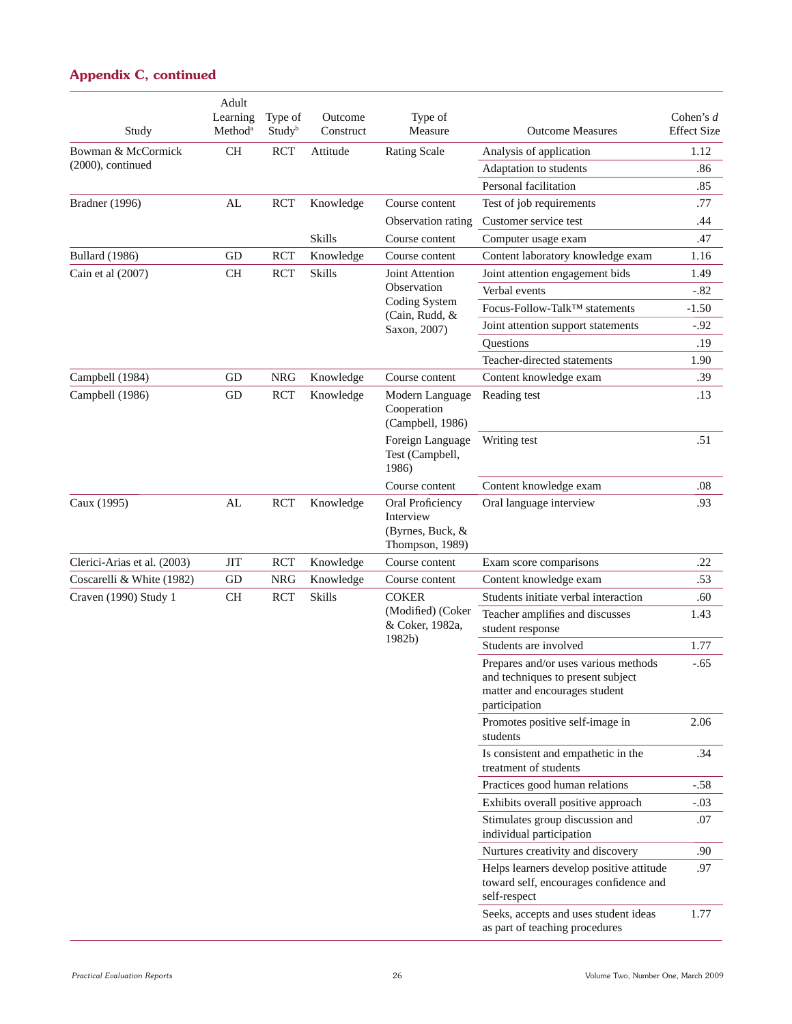#### Study Adult Learning Method<sup>a</sup> Type of **Study**<sup>b</sup> Outcome **Construct** Type of Measure Outcome Measures Cohen's *d* Effect Size Bowman & McCormick (2000), continued CH RCT Attitude Rating Scale Analysis of application 1.12 Adaptation to students .86 Personal facilitation .85 Bradner (1996) AL RCT Knowledge Course content Test of job requirements .77 Observation rating Customer service test .44 Skills Course content Computer usage exam .47 Bullard (1986) GD RCT Knowledge Course content Content laboratory knowledge exam 1.16 Cain et al (2007) CH RCT Skills Joint Attention **Observation** Coding System (Cain, Rudd, & Saxon, 2007) Joint attention engagement bids 1.49 Verbal events -.82 Focus-Follow-Talk™ statements -1.50 Joint attention support statements -.92 Questions .19 Teacher-directed statements 1.90 Campbell (1984) GD NRG Knowledge Course content Content knowledge exam .39 Campbell (1986) GD RCT Knowledge Modern Language Cooperation (Campbell, 1986) Reading test .13 Foreign Language Test (Campbell, 1986) Writing test .51 Course content Content knowledge exam .08 Caux (1995) AL RCT Knowledge Oral Proficiency Interview (Byrnes, Buck, & Thompson, 1989) Oral language interview .93 Clerici-Arias et al. (2003) JIT RCT Knowledge Course content Exam score comparisons .22 Coscarelli & White (1982) GD NRG Knowledge Course content Content knowledge exam .53 Craven (1990) Study 1 CH RCT Skills COKER (Modified) (Coker & Coker, 1982a, 1982b) Students initiate verbal interaction .60 Teacher amplifies and discusses student response 1.43 Students are involved 1.77 Prepares and/or uses various methods and techniques to present subject matter and encourages student participation -.65 Promotes positive self-image in students 2.06 Is consistent and empathetic in the treatment of students .34 Practices good human relations -.58 Exhibits overall positive approach -.03 Stimulates group discussion and individual participation .07 Nurtures creativity and discovery .90 Helps learners develop positive attitude toward self, encourages confidence and self-respect .97 Seeks, accepts and uses student ideas as part of teaching procedures 1.77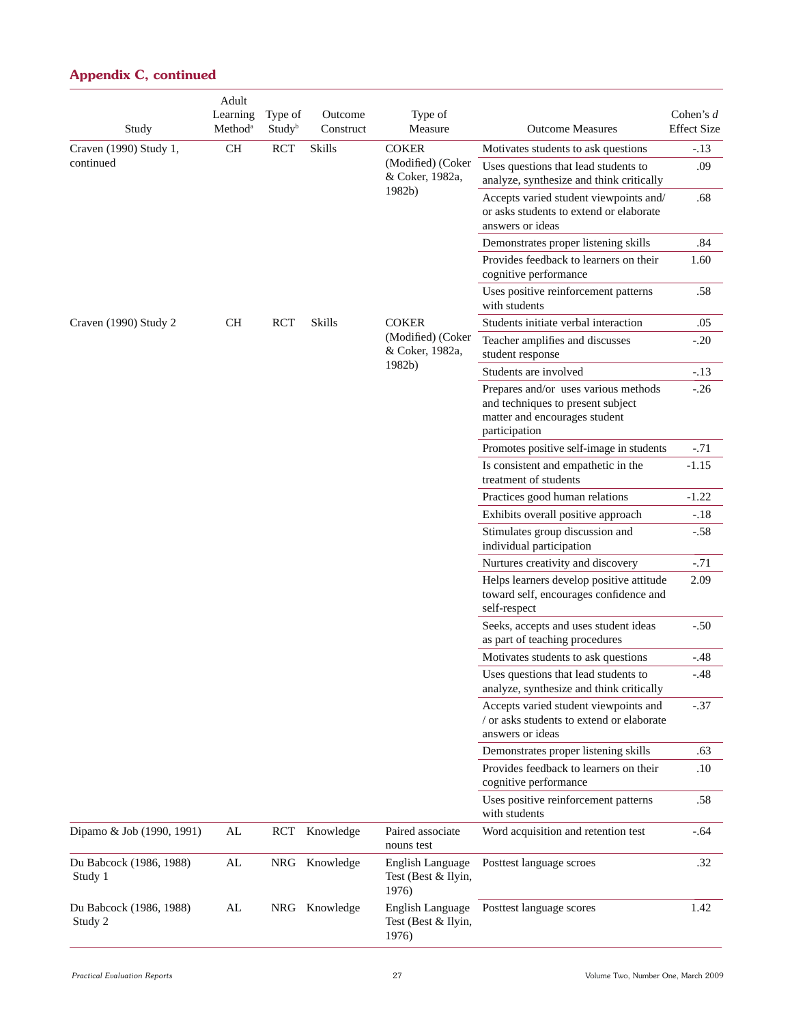| Study                              | Adult<br>Learning<br>Method <sup>a</sup> | Type of<br>Studyb | Outcome<br>Construct | Type of<br>Measure                                      | <b>Outcome Measures</b>                                                                                                     | Cohen's $d$<br><b>Effect Size</b> |
|------------------------------------|------------------------------------------|-------------------|----------------------|---------------------------------------------------------|-----------------------------------------------------------------------------------------------------------------------------|-----------------------------------|
| Craven (1990) Study 1,             | <b>CH</b>                                | <b>RCT</b>        | <b>Skills</b>        | <b>COKER</b>                                            | Motivates students to ask questions                                                                                         | $-.13$                            |
| continued                          |                                          |                   |                      | (Modified) (Coker<br>& Coker, 1982a,                    | Uses questions that lead students to<br>analyze, synthesize and think critically                                            | .09                               |
|                                    |                                          |                   |                      | 1982b)                                                  | Accepts varied student viewpoints and/<br>or asks students to extend or elaborate<br>answers or ideas                       | .68                               |
|                                    |                                          |                   |                      |                                                         | Demonstrates proper listening skills                                                                                        | .84                               |
|                                    |                                          |                   |                      |                                                         | Provides feedback to learners on their<br>cognitive performance                                                             | 1.60                              |
|                                    |                                          |                   |                      |                                                         | Uses positive reinforcement patterns<br>with students                                                                       | .58                               |
| Craven (1990) Study 2              | <b>CH</b>                                | <b>RCT</b>        | Skills               | <b>COKER</b>                                            | Students initiate verbal interaction                                                                                        | .05                               |
|                                    |                                          |                   |                      | (Modified) (Coker<br>& Coker, 1982a,                    | Teacher amplifies and discusses<br>student response                                                                         | $-.20$                            |
|                                    |                                          |                   |                      | 1982b)                                                  | Students are involved                                                                                                       | $-.13$                            |
|                                    |                                          |                   |                      |                                                         | Prepares and/or uses various methods<br>and techniques to present subject<br>matter and encourages student<br>participation | $-.26$                            |
|                                    |                                          |                   |                      |                                                         | Promotes positive self-image in students                                                                                    | $-.71$                            |
|                                    |                                          |                   |                      |                                                         | Is consistent and empathetic in the<br>treatment of students                                                                | $-1.15$                           |
|                                    |                                          |                   |                      |                                                         | Practices good human relations                                                                                              | $-1.22$                           |
|                                    |                                          |                   |                      |                                                         | Exhibits overall positive approach                                                                                          | $-.18$                            |
|                                    |                                          |                   |                      |                                                         | Stimulates group discussion and<br>individual participation                                                                 | $-.58$                            |
|                                    |                                          |                   |                      |                                                         | Nurtures creativity and discovery                                                                                           | $-.71$                            |
|                                    |                                          |                   |                      |                                                         | Helps learners develop positive attitude<br>toward self, encourages confidence and<br>self-respect                          | 2.09                              |
|                                    |                                          |                   |                      |                                                         | Seeks, accepts and uses student ideas<br>as part of teaching procedures                                                     | $-.50$                            |
|                                    |                                          |                   |                      |                                                         | Motivates students to ask questions                                                                                         | $-.48$                            |
|                                    |                                          |                   |                      |                                                         | Uses questions that lead students to<br>analyze, synthesize and think critically                                            | -.48                              |
|                                    |                                          |                   |                      |                                                         | Accepts varied student viewpoints and<br>/ or asks students to extend or elaborate<br>answers or ideas                      | $-.37$                            |
|                                    |                                          |                   |                      |                                                         | Demonstrates proper listening skills                                                                                        | .63                               |
|                                    |                                          |                   |                      |                                                         | Provides feedback to learners on their<br>cognitive performance                                                             | .10                               |
|                                    |                                          |                   |                      |                                                         | Uses positive reinforcement patterns<br>with students                                                                       | .58                               |
| Dipamo & Job (1990, 1991)          | AL                                       | <b>RCT</b>        | Knowledge            | Paired associate<br>nouns test                          | Word acquisition and retention test                                                                                         | $-.64$                            |
| Du Babcock (1986, 1988)<br>Study 1 | AL                                       |                   | NRG Knowledge        | English Language<br>Test (Best & Ilyin,<br>1976)        | Posttest language scroes                                                                                                    | .32                               |
| Du Babcock (1986, 1988)<br>Study 2 | AL                                       |                   | NRG Knowledge        | <b>English Language</b><br>Test (Best & Ilyin,<br>1976) | Posttest language scores                                                                                                    | 1.42                              |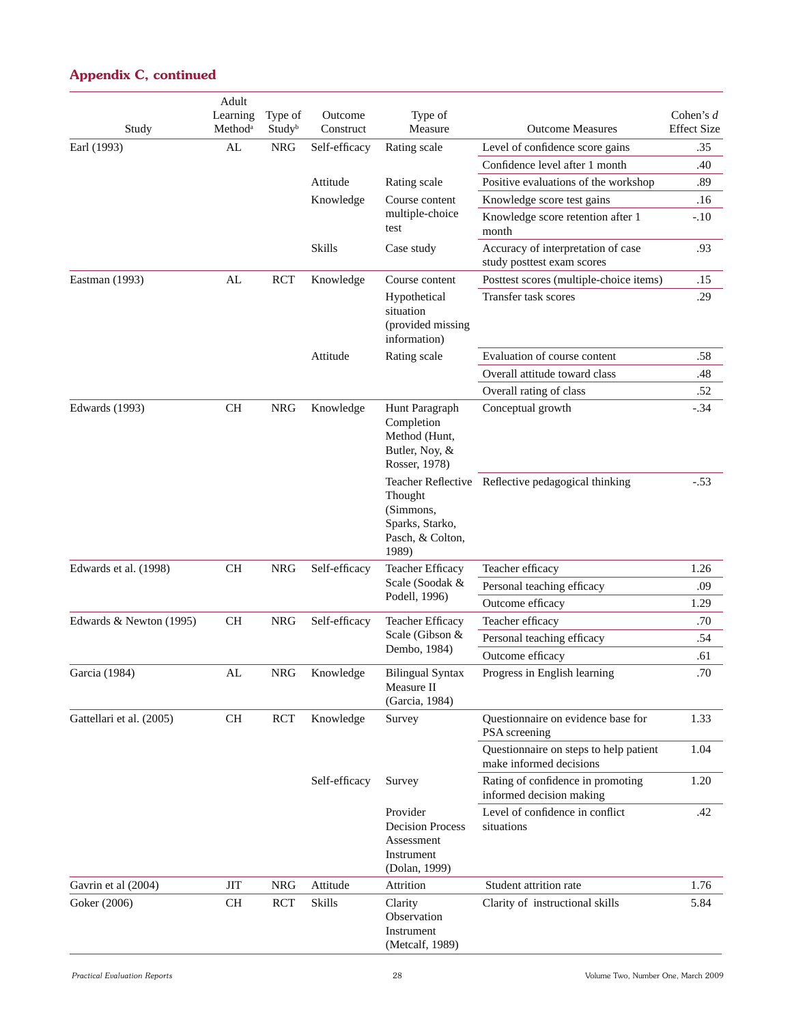| Study                    | Adult<br>Learning<br>Method <sup>a</sup> | Type of<br>Study <sup>b</sup> | Outcome<br>Construct | Type of<br>Measure                                                               | <b>Outcome Measures</b>                                           | Cohen's $d$<br><b>Effect Size</b> |
|--------------------------|------------------------------------------|-------------------------------|----------------------|----------------------------------------------------------------------------------|-------------------------------------------------------------------|-----------------------------------|
| Earl (1993)              | ${\rm AL}$                               | <b>NRG</b>                    | Self-efficacy        | Rating scale                                                                     | Level of confidence score gains                                   | .35                               |
|                          |                                          |                               |                      |                                                                                  | Confidence level after 1 month                                    | .40                               |
|                          |                                          |                               | Attitude             | Rating scale                                                                     | Positive evaluations of the workshop                              | .89                               |
|                          |                                          |                               | Knowledge            | Course content                                                                   | Knowledge score test gains                                        | .16                               |
|                          |                                          |                               |                      | multiple-choice<br>test                                                          | Knowledge score retention after 1<br>month                        | $-.10$                            |
|                          |                                          |                               | <b>Skills</b>        | Case study                                                                       | Accuracy of interpretation of case<br>study posttest exam scores  | .93                               |
| Eastman (1993)           | AL                                       | <b>RCT</b>                    | Knowledge            | Course content                                                                   | Posttest scores (multiple-choice items)                           | .15                               |
|                          |                                          |                               |                      | Hypothetical<br>situation<br>(provided missing<br>information)                   | Transfer task scores                                              | .29                               |
|                          |                                          |                               | Attitude             | Rating scale                                                                     | Evaluation of course content                                      | .58                               |
|                          |                                          |                               |                      |                                                                                  | Overall attitude toward class                                     | .48                               |
|                          |                                          |                               |                      |                                                                                  | Overall rating of class                                           | .52                               |
| Edwards (1993)           | <b>CH</b>                                | <b>NRG</b>                    | Knowledge            | Hunt Paragraph<br>Completion<br>Method (Hunt,<br>Butler, Noy, &<br>Rosser, 1978) | Conceptual growth                                                 | $-.34$                            |
|                          |                                          |                               |                      | Thought<br>(Simmons,<br>Sparks, Starko,<br>Pasch, & Colton,<br>1989)             | Teacher Reflective Reflective pedagogical thinking                | $-.53$                            |
| Edwards et al. (1998)    | <b>CH</b>                                | <b>NRG</b>                    | Self-efficacy        | Teacher Efficacy                                                                 | Teacher efficacy                                                  | 1.26                              |
|                          |                                          |                               |                      | Scale (Soodak &                                                                  | Personal teaching efficacy                                        | .09                               |
|                          |                                          |                               |                      | Podell, 1996)                                                                    | Outcome efficacy                                                  | 1.29                              |
| Edwards & Newton (1995)  | CH                                       | <b>NRG</b>                    | Self-efficacy        | Teacher Efficacy                                                                 | Teacher efficacy                                                  | .70                               |
|                          |                                          |                               |                      | Scale (Gibson &                                                                  | Personal teaching efficacy                                        | .54                               |
|                          |                                          |                               |                      | Dembo, 1984)                                                                     | Outcome efficacy                                                  | .61                               |
| Garcia (1984)            | ${\rm AL}$                               | <b>NRG</b>                    | Knowledge            | Bilingual Syntax<br>Measure II<br>(Garcia, 1984)                                 | Progress in English learning                                      | .70                               |
| Gattellari et al. (2005) | CH                                       | <b>RCT</b>                    | Knowledge            | Survey                                                                           | Questionnaire on evidence base for<br>PSA screening               | 1.33                              |
|                          |                                          |                               |                      |                                                                                  | Questionnaire on steps to help patient<br>make informed decisions | 1.04                              |
|                          |                                          |                               | Self-efficacy        | Survey                                                                           | Rating of confidence in promoting<br>informed decision making     | 1.20                              |
|                          |                                          |                               |                      | Provider<br><b>Decision Process</b><br>Assessment<br>Instrument<br>(Dolan, 1999) | Level of confidence in conflict<br>situations                     | .42                               |
| Gavrin et al (2004)      | <b>JIT</b>                               | NRG                           | Attitude             | Attrition                                                                        | Student attrition rate                                            | 1.76                              |
| Goker (2006)             | CH                                       | <b>RCT</b>                    | <b>Skills</b>        | Clarity<br>Observation<br>Instrument<br>(Metcalf, 1989)                          | Clarity of instructional skills                                   | 5.84                              |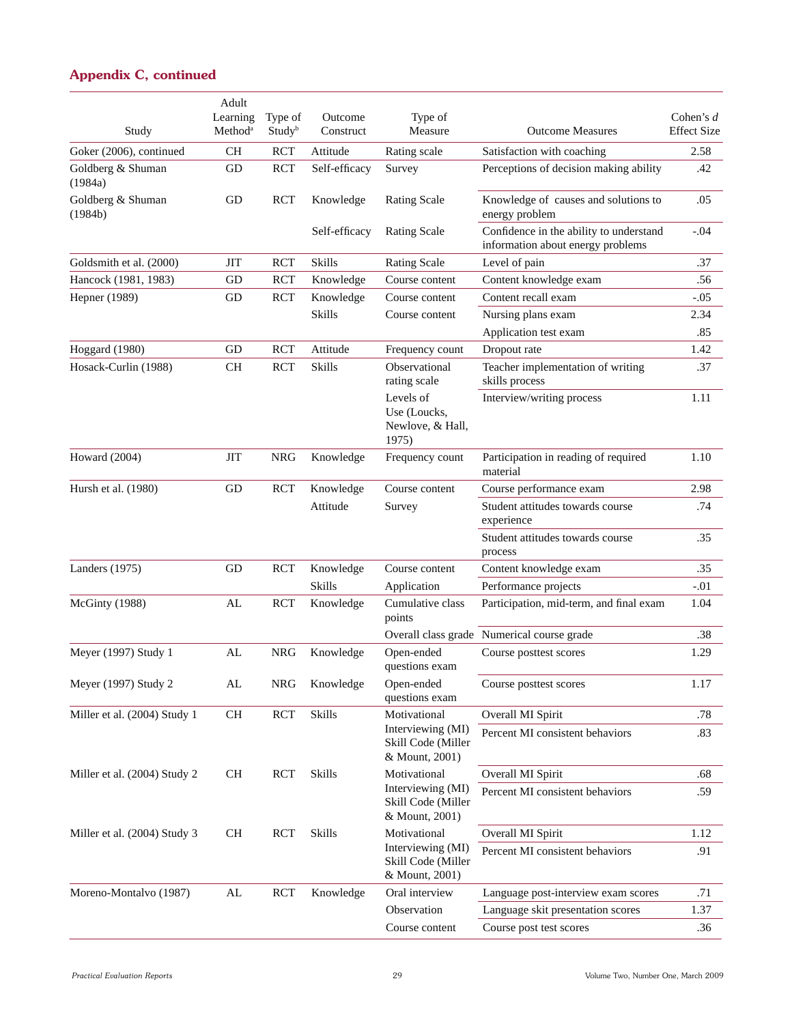| Study                        | Adult<br>Learning<br>Method <sup>a</sup> | Type of<br>Study <sup>b</sup> | Outcome<br>Construct | Type of<br>Measure                                        | <b>Outcome Measures</b>                                                      | Cohen's $d$<br><b>Effect Size</b> |
|------------------------------|------------------------------------------|-------------------------------|----------------------|-----------------------------------------------------------|------------------------------------------------------------------------------|-----------------------------------|
| Goker (2006), continued      | CH                                       | <b>RCT</b>                    | Attitude             | Rating scale                                              | Satisfaction with coaching                                                   | 2.58                              |
| Goldberg & Shuman<br>(1984a) | GD                                       | <b>RCT</b>                    | Self-efficacy        | Survey                                                    | Perceptions of decision making ability                                       | .42                               |
| Goldberg & Shuman<br>(1984b) | GD                                       | <b>RCT</b>                    | Knowledge            | <b>Rating Scale</b>                                       | Knowledge of causes and solutions to<br>energy problem                       | .05                               |
|                              |                                          |                               | Self-efficacy        | <b>Rating Scale</b>                                       | Confidence in the ability to understand<br>information about energy problems | $-.04$                            |
| Goldsmith et al. (2000)      | ЛT                                       | <b>RCT</b>                    | <b>Skills</b>        | <b>Rating Scale</b>                                       | Level of pain                                                                | .37                               |
| Hancock (1981, 1983)         | GD                                       | <b>RCT</b>                    | Knowledge            | Course content                                            | Content knowledge exam                                                       | .56                               |
| Hepner (1989)                | GD                                       | <b>RCT</b>                    | Knowledge            | Course content                                            | Content recall exam                                                          | $-.05$                            |
|                              |                                          |                               | <b>Skills</b>        | Course content                                            | Nursing plans exam                                                           | 2.34                              |
|                              |                                          |                               |                      |                                                           | Application test exam                                                        | .85                               |
| Hoggard (1980)               | GD                                       | <b>RCT</b>                    | Attitude             | Frequency count                                           | Dropout rate                                                                 | 1.42                              |
| Hosack-Curlin (1988)         | CH                                       | RCT                           | <b>Skills</b>        | Observational<br>rating scale                             | Teacher implementation of writing<br>skills process                          | .37                               |
|                              |                                          |                               |                      | Levels of<br>Use (Loucks,<br>Newlove, & Hall,<br>1975)    | Interview/writing process                                                    | 1.11                              |
| Howard $(2004)$              | <b>JIT</b>                               | <b>NRG</b>                    | Knowledge            | Frequency count                                           | Participation in reading of required<br>material                             | 1.10                              |
| Hursh et al. (1980)          | GD                                       | <b>RCT</b>                    | Knowledge            | Course content                                            | Course performance exam                                                      | 2.98                              |
|                              |                                          |                               | Attitude             | Survey                                                    | Student attitudes towards course<br>experience                               | .74                               |
|                              |                                          |                               |                      |                                                           | Student attitudes towards course<br>process                                  | .35                               |
| Landers (1975)               | GD                                       | <b>RCT</b>                    | Knowledge            | Course content                                            | Content knowledge exam                                                       | .35                               |
|                              |                                          |                               | <b>Skills</b>        | Application                                               | Performance projects                                                         | $-.01$                            |
| McGinty (1988)               | AL                                       | <b>RCT</b>                    | Knowledge            | Cumulative class<br>points                                | Participation, mid-term, and final exam                                      | 1.04                              |
|                              |                                          |                               |                      |                                                           | Overall class grade Numerical course grade                                   | .38                               |
| Meyer (1997) Study 1         | AL                                       | <b>NRG</b>                    | Knowledge            | Open-ended<br>questions exam                              | Course posttest scores                                                       | 1.29                              |
| Meyer (1997) Study 2         | ${\rm AL}$                               | <b>NRG</b>                    | Knowledge            | Open-ended<br>questions exam                              | Course posttest scores                                                       | 1.17                              |
| Miller et al. (2004) Study 1 | $\rm CH$                                 | <b>RCT</b>                    | Skills               | Motivational                                              | Overall MI Spirit                                                            | .78                               |
|                              |                                          |                               |                      | Interviewing (MI)<br>Skill Code (Miller<br>& Mount, 2001) | Percent MI consistent behaviors                                              | .83                               |
| Miller et al. (2004) Study 2 | <b>CH</b>                                | <b>RCT</b>                    | <b>Skills</b>        | Motivational                                              | Overall MI Spirit                                                            | .68                               |
|                              |                                          |                               |                      | Interviewing (MI)<br>Skill Code (Miller<br>& Mount, 2001) | Percent MI consistent behaviors                                              | .59                               |
| Miller et al. (2004) Study 3 | <b>CH</b>                                | <b>RCT</b>                    | Skills               | Motivational                                              | Overall MI Spirit                                                            | 1.12                              |
|                              |                                          |                               |                      | Interviewing (MI)<br>Skill Code (Miller<br>& Mount, 2001) | Percent MI consistent behaviors                                              | .91                               |
| Moreno-Montalvo (1987)       | ${\rm AL}$                               | RCT                           | Knowledge            | Oral interview                                            | Language post-interview exam scores                                          | .71                               |
|                              |                                          |                               |                      | Observation                                               | Language skit presentation scores                                            | 1.37                              |
|                              |                                          |                               |                      | Course content                                            | Course post test scores                                                      | .36                               |
|                              |                                          |                               |                      |                                                           |                                                                              |                                   |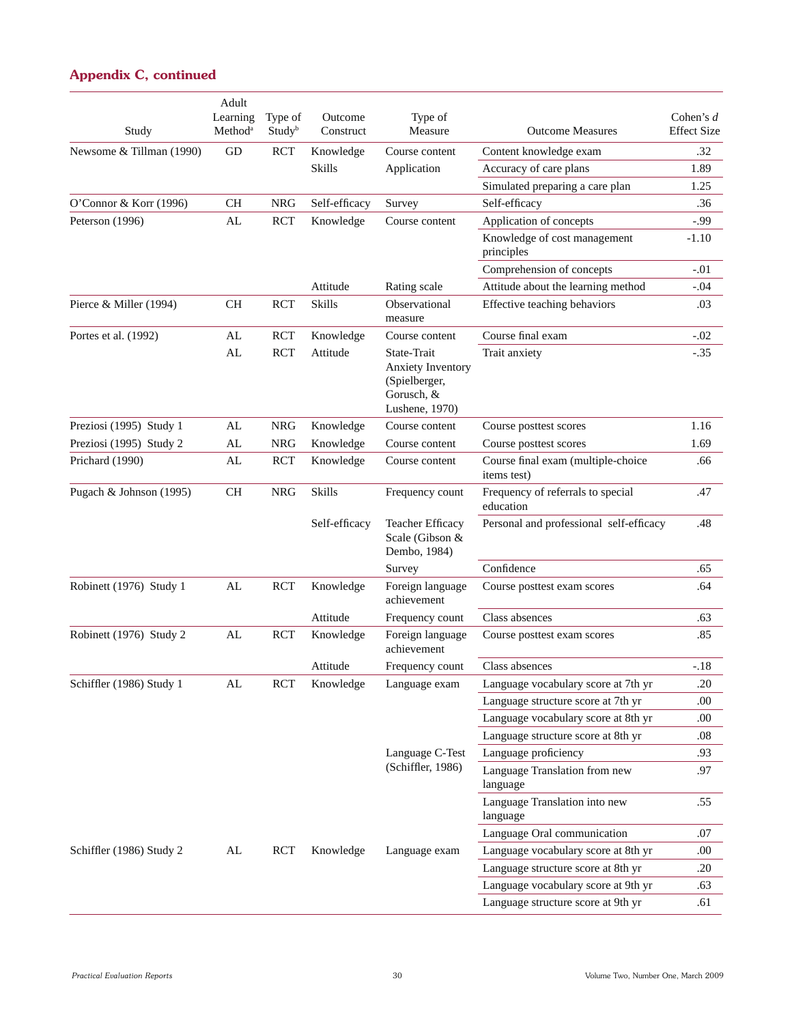| Study                    | Adult<br>Learning<br>Method <sup>a</sup> | Type of<br>Study <sup>b</sup> | Outcome<br>Construct | Type of<br>Measure                                                                       | <b>Outcome Measures</b>                           | Cohen's $d$<br><b>Effect Size</b> |
|--------------------------|------------------------------------------|-------------------------------|----------------------|------------------------------------------------------------------------------------------|---------------------------------------------------|-----------------------------------|
| Newsome & Tillman (1990) | GD                                       | <b>RCT</b>                    | Knowledge            | Course content                                                                           | Content knowledge exam                            | .32                               |
|                          |                                          |                               | <b>Skills</b>        | Application                                                                              | Accuracy of care plans                            | 1.89                              |
|                          |                                          |                               |                      |                                                                                          | Simulated preparing a care plan                   | 1.25                              |
| O'Connor & Korr (1996)   | <b>CH</b>                                | <b>NRG</b>                    | Self-efficacy        | Survey                                                                                   | Self-efficacy                                     | .36                               |
| Peterson (1996)          | AL                                       | <b>RCT</b>                    | Knowledge            | Course content                                                                           | Application of concepts                           | $-0.99$                           |
|                          |                                          |                               |                      |                                                                                          | Knowledge of cost management<br>principles        | $-1.10$                           |
|                          |                                          |                               |                      |                                                                                          | Comprehension of concepts                         | $-.01$                            |
|                          |                                          |                               | Attitude             | Rating scale                                                                             | Attitude about the learning method                | $-.04$                            |
| Pierce & Miller (1994)   | <b>CH</b>                                | <b>RCT</b>                    | <b>Skills</b>        | Observational<br>measure                                                                 | Effective teaching behaviors                      | .03                               |
| Portes et al. (1992)     | AL                                       | <b>RCT</b>                    | Knowledge            | Course content                                                                           | Course final exam                                 | $-.02$                            |
|                          | AL                                       | <b>RCT</b>                    | Attitude             | State-Trait<br><b>Anxiety Inventory</b><br>(Spielberger,<br>Gorusch, &<br>Lushene, 1970) | Trait anxiety                                     | $-.35$                            |
| Preziosi (1995) Study 1  | AL                                       | <b>NRG</b>                    | Knowledge            | Course content                                                                           | Course posttest scores                            | 1.16                              |
| Preziosi (1995) Study 2  | AL                                       | <b>NRG</b>                    | Knowledge            | Course content                                                                           | Course posttest scores                            | 1.69                              |
| Prichard (1990)          | AL                                       | <b>RCT</b>                    | Knowledge            | Course content                                                                           | Course final exam (multiple-choice<br>items test) | .66                               |
| Pugach & Johnson (1995)  | <b>CH</b>                                | <b>NRG</b>                    | <b>Skills</b>        | Frequency count                                                                          | Frequency of referrals to special<br>education    | .47                               |
|                          |                                          |                               | Self-efficacy        | <b>Teacher Efficacy</b><br>Scale (Gibson &<br>Dembo, 1984)                               | Personal and professional self-efficacy           | .48                               |
|                          |                                          |                               |                      | Survey                                                                                   | Confidence                                        | .65                               |
| Robinett (1976) Study 1  | AL                                       | <b>RCT</b>                    | Knowledge            | Foreign language<br>achievement                                                          | Course posttest exam scores                       | .64                               |
|                          |                                          |                               | Attitude             | Frequency count                                                                          | Class absences                                    | .63                               |
| Robinett (1976) Study 2  | AL                                       | <b>RCT</b>                    | Knowledge            | Foreign language<br>achievement                                                          | Course posttest exam scores                       | .85                               |
|                          |                                          |                               | Attitude             | Frequency count                                                                          | Class absences                                    | $-.18$                            |
| Schiffler (1986) Study 1 | AL                                       | <b>RCT</b>                    | Knowledge            | Language exam                                                                            | Language vocabulary score at 7th yr               | .20                               |
|                          |                                          |                               |                      |                                                                                          | Language structure score at 7th yr                | .00                               |
|                          |                                          |                               |                      |                                                                                          | Language vocabulary score at 8th yr               | .00.                              |
|                          |                                          |                               |                      |                                                                                          | Language structure score at 8th yr                | .08                               |
|                          |                                          |                               |                      | Language C-Test                                                                          | Language proficiency                              | .93                               |
|                          |                                          |                               |                      | (Schiffler, 1986)                                                                        | Language Translation from new<br>language         | .97                               |
|                          |                                          |                               |                      |                                                                                          | Language Translation into new<br>language         | .55                               |
|                          |                                          |                               |                      |                                                                                          | Language Oral communication                       | .07                               |
| Schiffler (1986) Study 2 | AL                                       | <b>RCT</b>                    | Knowledge            | Language exam                                                                            | Language vocabulary score at 8th yr               | .00.                              |
|                          |                                          |                               |                      |                                                                                          | Language structure score at 8th yr                | .20                               |
|                          |                                          |                               |                      |                                                                                          | Language vocabulary score at 9th yr               | .63                               |
|                          |                                          |                               |                      |                                                                                          | Language structure score at 9th yr                | .61                               |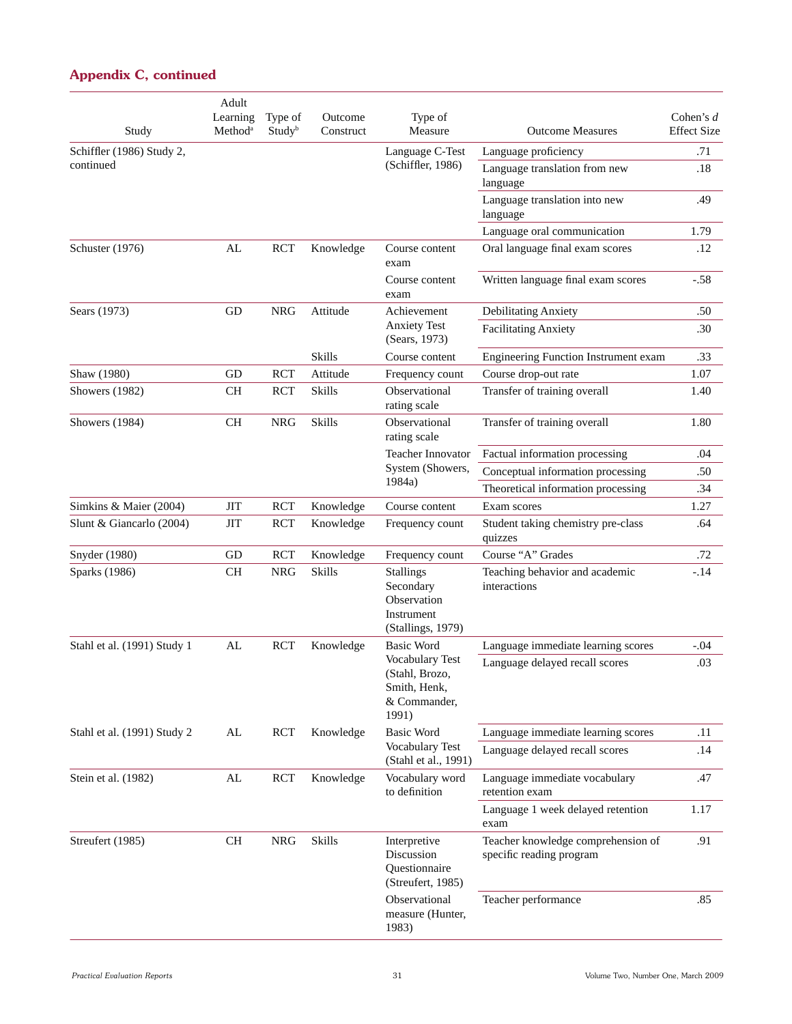| Study                       | Adult<br>Learning<br>Method <sup>a</sup> | Type of<br>Study <sup>b</sup> | Outcome<br>Construct | Type of<br>Measure                                                              | <b>Outcome Measures</b>                                        | Cohen's $d$<br><b>Effect Size</b> |
|-----------------------------|------------------------------------------|-------------------------------|----------------------|---------------------------------------------------------------------------------|----------------------------------------------------------------|-----------------------------------|
| Schiffler (1986) Study 2,   |                                          |                               |                      | Language C-Test                                                                 | Language proficiency                                           | .71                               |
| continued                   |                                          |                               |                      | (Schiffler, 1986)                                                               | Language translation from new<br>language                      | .18                               |
|                             |                                          |                               |                      |                                                                                 | Language translation into new<br>language                      | .49                               |
|                             |                                          |                               |                      |                                                                                 | Language oral communication                                    | 1.79                              |
| Schuster (1976)             | AL                                       | <b>RCT</b>                    | Knowledge            | Course content<br>exam                                                          | Oral language final exam scores                                | .12                               |
|                             |                                          |                               |                      | Course content<br>exam                                                          | Written language final exam scores                             | $-.58$                            |
| Sears (1973)                | GD                                       | <b>NRG</b>                    | Attitude             | Achievement                                                                     | Debilitating Anxiety                                           | .50                               |
|                             |                                          |                               |                      | <b>Anxiety Test</b><br>(Sears, 1973)                                            | <b>Facilitating Anxiety</b>                                    | .30                               |
|                             |                                          |                               | <b>Skills</b>        | Course content                                                                  | Engineering Function Instrument exam                           | .33                               |
| Shaw (1980)                 | GD                                       | <b>RCT</b>                    | Attitude             | Frequency count                                                                 | Course drop-out rate                                           | 1.07                              |
| Showers (1982)              | <b>CH</b>                                | <b>RCT</b>                    | Skills               | Observational<br>rating scale                                                   | Transfer of training overall                                   | 1.40                              |
| Showers (1984)              | <b>CH</b>                                | <b>NRG</b>                    | <b>Skills</b>        | Observational<br>rating scale                                                   | Transfer of training overall                                   | 1.80                              |
|                             |                                          |                               |                      | Teacher Innovator                                                               | Factual information processing                                 | .04                               |
|                             |                                          |                               |                      | System (Showers,                                                                | Conceptual information processing                              | .50                               |
|                             |                                          |                               |                      | 1984a)                                                                          | Theoretical information processing                             | .34                               |
| Simkins & Maier (2004)      | <b>JIT</b>                               | <b>RCT</b>                    | Knowledge            | Course content                                                                  | Exam scores                                                    | 1.27                              |
| Slunt & Giancarlo (2004)    | <b>JIT</b>                               | <b>RCT</b>                    | Knowledge            | Frequency count                                                                 | Student taking chemistry pre-class<br>quizzes                  | .64                               |
| Snyder (1980)               | GD                                       | <b>RCT</b>                    | Knowledge            | Frequency count                                                                 | Course "A" Grades                                              | .72                               |
| Sparks (1986)               | $\rm CH$                                 | <b>NRG</b>                    | <b>Skills</b>        | <b>Stallings</b><br>Secondary<br>Observation<br>Instrument<br>(Stallings, 1979) | Teaching behavior and academic<br>interactions                 | $-14$                             |
| Stahl et al. (1991) Study 1 | AL                                       | <b>RCT</b>                    | Knowledge            | <b>Basic Word</b>                                                               | Language immediate learning scores                             | $-.04$                            |
|                             |                                          |                               |                      | Vocabulary Test<br>(Stahl, Brozo,<br>Smith, Henk,<br>& Commander,<br>1991)      | Language delayed recall scores                                 | .03                               |
| Stahl et al. (1991) Study 2 | AL                                       | RCT                           | Knowledge            | <b>Basic Word</b>                                                               | Language immediate learning scores                             | .11                               |
|                             |                                          |                               |                      | Vocabulary Test<br>(Stahl et al., 1991)                                         | Language delayed recall scores                                 | .14                               |
| Stein et al. (1982)         | AL                                       | <b>RCT</b>                    | Knowledge            | Vocabulary word<br>to definition                                                | Language immediate vocabulary<br>retention exam                | .47                               |
|                             |                                          |                               |                      |                                                                                 | Language 1 week delayed retention<br>exam                      | 1.17                              |
| Streufert (1985)            | <b>CH</b>                                | <b>NRG</b>                    | <b>Skills</b>        | Interpretive<br>Discussion<br>Questionnaire<br>(Streufert, 1985)                | Teacher knowledge comprehension of<br>specific reading program | .91                               |
|                             |                                          |                               |                      | Observational<br>measure (Hunter,<br>1983)                                      | Teacher performance                                            | .85                               |